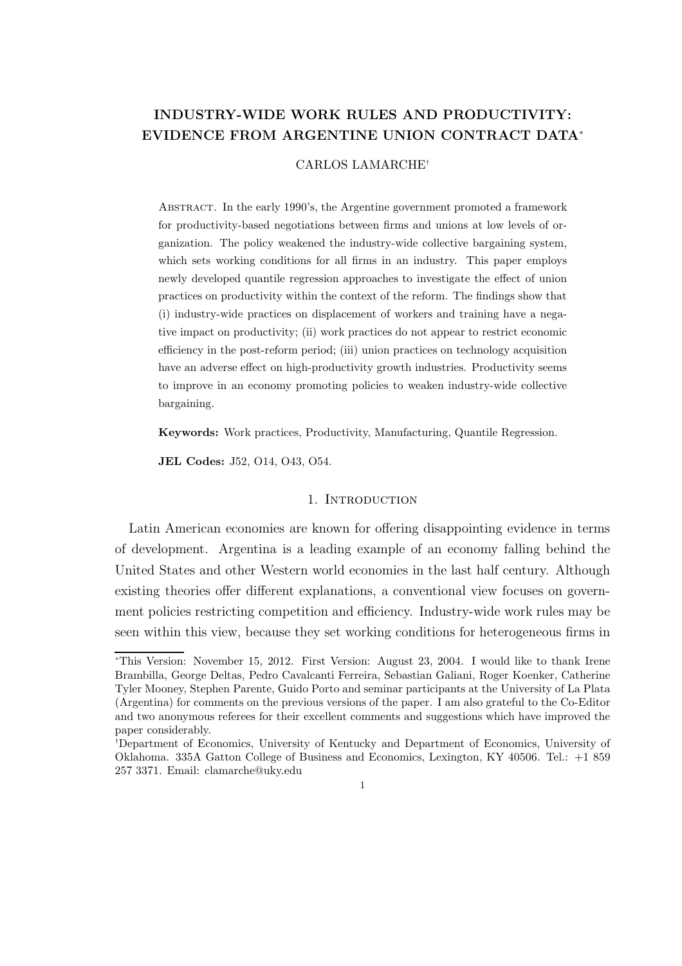# INDUSTRY-WIDE WORK RULES AND PRODUCTIVITY: EVIDENCE FROM ARGENTINE UNION CONTRACT DATA<sup>∗</sup>

#### CARLOS LAMARCHE†

Abstract. In the early 1990's, the Argentine government promoted a framework for productivity-based negotiations between firms and unions at low levels of organization. The policy weakened the industry-wide collective bargaining system, which sets working conditions for all firms in an industry. This paper employs newly developed quantile regression approaches to investigate the effect of union practices on productivity within the context of the reform. The findings show that (i) industry-wide practices on displacement of workers and training have a negative impact on productivity; (ii) work practices do not appear to restrict economic efficiency in the post-reform period; (iii) union practices on technology acquisition have an adverse effect on high-productivity growth industries. Productivity seems to improve in an economy promoting policies to weaken industry-wide collective bargaining.

Keywords: Work practices, Productivity, Manufacturing, Quantile Regression.

JEL Codes: J52, O14, O43, O54.

## 1. INTRODUCTION

Latin American economies are known for offering disappointing evidence in terms of development. Argentina is a leading example of an economy falling behind the United States and other Western world economies in the last half century. Although existing theories offer different explanations, a conventional view focuses on government policies restricting competition and efficiency. Industry-wide work rules may be seen within this view, because they set working conditions for heterogeneous firms in

<sup>∗</sup>This Version: November 15, 2012. First Version: August 23, 2004. I would like to thank Irene Brambilla, George Deltas, Pedro Cavalcanti Ferreira, Sebastian Galiani, Roger Koenker, Catherine Tyler Mooney, Stephen Parente, Guido Porto and seminar participants at the University of La Plata (Argentina) for comments on the previous versions of the paper. I am also grateful to the Co-Editor and two anonymous referees for their excellent comments and suggestions which have improved the paper considerably.

<sup>†</sup>Department of Economics, University of Kentucky and Department of Economics, University of Oklahoma. 335A Gatton College of Business and Economics, Lexington, KY 40506. Tel.: +1 859 257 3371. Email: clamarche@uky.edu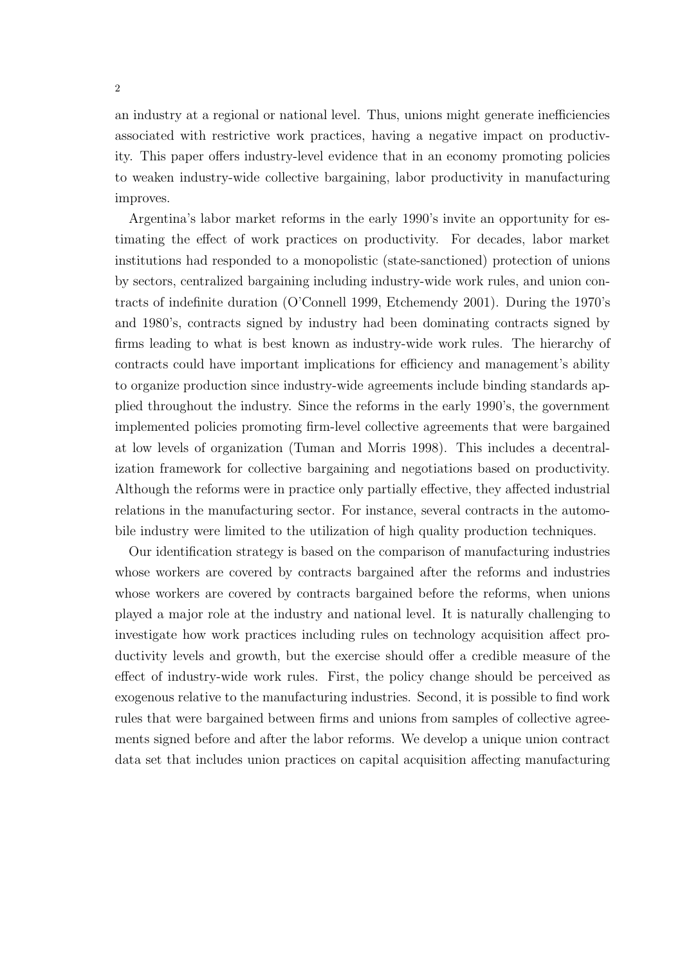an industry at a regional or national level. Thus, unions might generate inefficiencies associated with restrictive work practices, having a negative impact on productivity. This paper offers industry-level evidence that in an economy promoting policies to weaken industry-wide collective bargaining, labor productivity in manufacturing improves.

Argentina's labor market reforms in the early 1990's invite an opportunity for estimating the effect of work practices on productivity. For decades, labor market institutions had responded to a monopolistic (state-sanctioned) protection of unions by sectors, centralized bargaining including industry-wide work rules, and union contracts of indefinite duration (O'Connell 1999, Etchemendy 2001). During the 1970's and 1980's, contracts signed by industry had been dominating contracts signed by firms leading to what is best known as industry-wide work rules. The hierarchy of contracts could have important implications for efficiency and management's ability to organize production since industry-wide agreements include binding standards applied throughout the industry. Since the reforms in the early 1990's, the government implemented policies promoting firm-level collective agreements that were bargained at low levels of organization (Tuman and Morris 1998). This includes a decentralization framework for collective bargaining and negotiations based on productivity. Although the reforms were in practice only partially effective, they affected industrial relations in the manufacturing sector. For instance, several contracts in the automobile industry were limited to the utilization of high quality production techniques.

Our identification strategy is based on the comparison of manufacturing industries whose workers are covered by contracts bargained after the reforms and industries whose workers are covered by contracts bargained before the reforms, when unions played a major role at the industry and national level. It is naturally challenging to investigate how work practices including rules on technology acquisition affect productivity levels and growth, but the exercise should offer a credible measure of the effect of industry-wide work rules. First, the policy change should be perceived as exogenous relative to the manufacturing industries. Second, it is possible to find work rules that were bargained between firms and unions from samples of collective agreements signed before and after the labor reforms. We develop a unique union contract data set that includes union practices on capital acquisition affecting manufacturing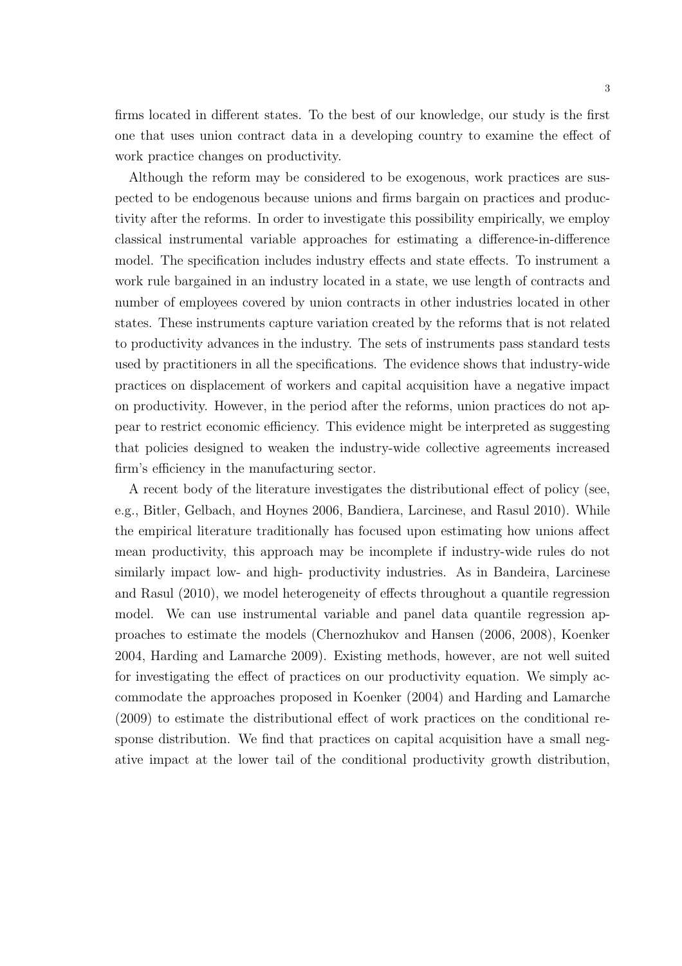firms located in different states. To the best of our knowledge, our study is the first one that uses union contract data in a developing country to examine the effect of work practice changes on productivity.

Although the reform may be considered to be exogenous, work practices are suspected to be endogenous because unions and firms bargain on practices and productivity after the reforms. In order to investigate this possibility empirically, we employ classical instrumental variable approaches for estimating a difference-in-difference model. The specification includes industry effects and state effects. To instrument a work rule bargained in an industry located in a state, we use length of contracts and number of employees covered by union contracts in other industries located in other states. These instruments capture variation created by the reforms that is not related to productivity advances in the industry. The sets of instruments pass standard tests used by practitioners in all the specifications. The evidence shows that industry-wide practices on displacement of workers and capital acquisition have a negative impact on productivity. However, in the period after the reforms, union practices do not appear to restrict economic efficiency. This evidence might be interpreted as suggesting that policies designed to weaken the industry-wide collective agreements increased firm's efficiency in the manufacturing sector.

A recent body of the literature investigates the distributional effect of policy (see, e.g., Bitler, Gelbach, and Hoynes 2006, Bandiera, Larcinese, and Rasul 2010). While the empirical literature traditionally has focused upon estimating how unions affect mean productivity, this approach may be incomplete if industry-wide rules do not similarly impact low- and high- productivity industries. As in Bandeira, Larcinese and Rasul (2010), we model heterogeneity of effects throughout a quantile regression model. We can use instrumental variable and panel data quantile regression approaches to estimate the models (Chernozhukov and Hansen (2006, 2008), Koenker 2004, Harding and Lamarche 2009). Existing methods, however, are not well suited for investigating the effect of practices on our productivity equation. We simply accommodate the approaches proposed in Koenker (2004) and Harding and Lamarche (2009) to estimate the distributional effect of work practices on the conditional response distribution. We find that practices on capital acquisition have a small negative impact at the lower tail of the conditional productivity growth distribution,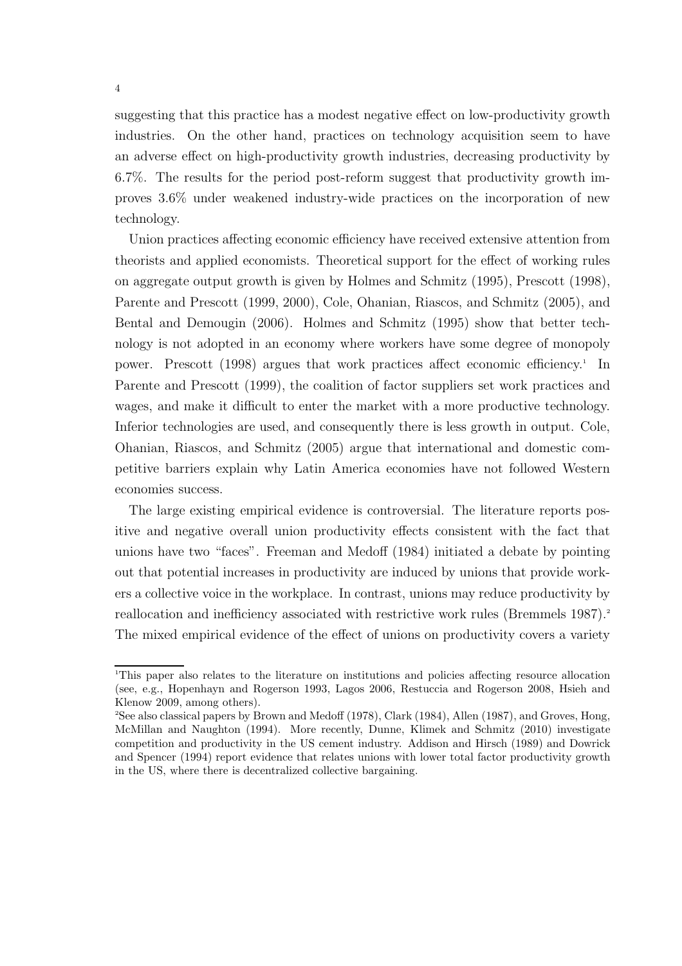suggesting that this practice has a modest negative effect on low-productivity growth industries. On the other hand, practices on technology acquisition seem to have an adverse effect on high-productivity growth industries, decreasing productivity by 6.7%. The results for the period post-reform suggest that productivity growth improves 3.6% under weakened industry-wide practices on the incorporation of new technology.

Union practices affecting economic efficiency have received extensive attention from theorists and applied economists. Theoretical support for the effect of working rules on aggregate output growth is given by Holmes and Schmitz (1995), Prescott (1998), Parente and Prescott (1999, 2000), Cole, Ohanian, Riascos, and Schmitz (2005), and Bental and Demougin (2006). Holmes and Schmitz (1995) show that better technology is not adopted in an economy where workers have some degree of monopoly power. Prescott (1998) argues that work practices affect economic efficiency.<sup>1</sup> In Parente and Prescott (1999), the coalition of factor suppliers set work practices and wages, and make it difficult to enter the market with a more productive technology. Inferior technologies are used, and consequently there is less growth in output. Cole, Ohanian, Riascos, and Schmitz (2005) argue that international and domestic competitive barriers explain why Latin America economies have not followed Western economies success.

The large existing empirical evidence is controversial. The literature reports positive and negative overall union productivity effects consistent with the fact that unions have two "faces". Freeman and Medoff (1984) initiated a debate by pointing out that potential increases in productivity are induced by unions that provide workers a collective voice in the workplace. In contrast, unions may reduce productivity by reallocation and inefficiency associated with restrictive work rules (Bremmels 1987).<sup>2</sup> The mixed empirical evidence of the effect of unions on productivity covers a variety

<sup>1</sup>This paper also relates to the literature on institutions and policies affecting resource allocation (see, e.g., Hopenhayn and Rogerson 1993, Lagos 2006, Restuccia and Rogerson 2008, Hsieh and Klenow 2009, among others).

<sup>2</sup>See also classical papers by Brown and Medoff (1978), Clark (1984), Allen (1987), and Groves, Hong, McMillan and Naughton (1994). More recently, Dunne, Klimek and Schmitz (2010) investigate competition and productivity in the US cement industry. Addison and Hirsch (1989) and Dowrick and Spencer (1994) report evidence that relates unions with lower total factor productivity growth in the US, where there is decentralized collective bargaining.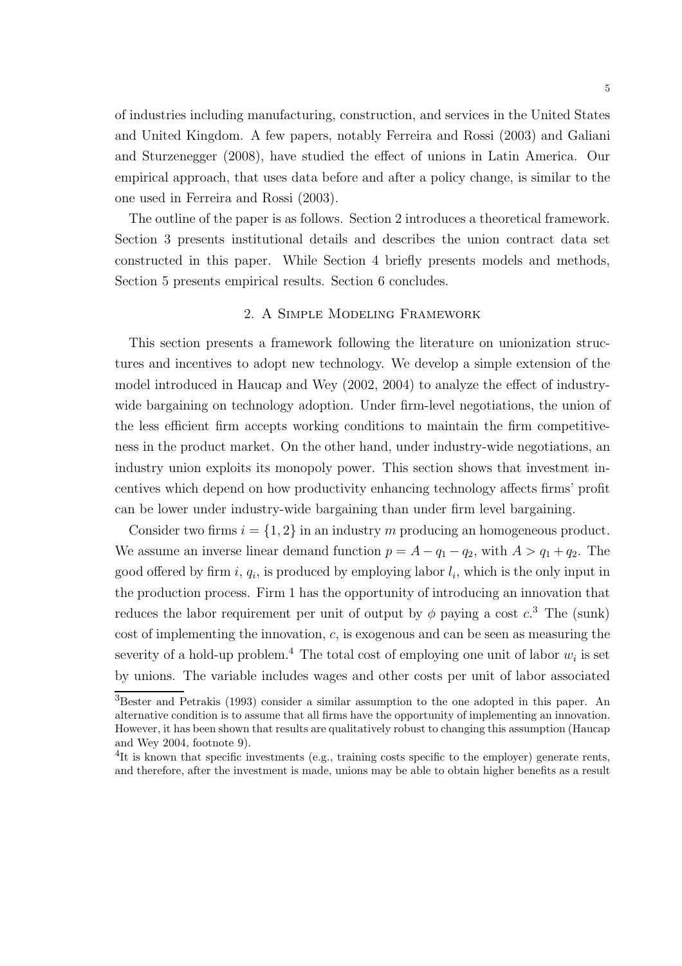of industries including manufacturing, construction, and services in the United States and United Kingdom. A few papers, notably Ferreira and Rossi (2003) and Galiani and Sturzenegger (2008), have studied the effect of unions in Latin America. Our empirical approach, that uses data before and after a policy change, is similar to the one used in Ferreira and Rossi (2003).

The outline of the paper is as follows. Section 2 introduces a theoretical framework. Section 3 presents institutional details and describes the union contract data set constructed in this paper. While Section 4 briefly presents models and methods, Section 5 presents empirical results. Section 6 concludes.

## 2. A Simple Modeling Framework

This section presents a framework following the literature on unionization structures and incentives to adopt new technology. We develop a simple extension of the model introduced in Haucap and Wey (2002, 2004) to analyze the effect of industrywide bargaining on technology adoption. Under firm-level negotiations, the union of the less efficient firm accepts working conditions to maintain the firm competitiveness in the product market. On the other hand, under industry-wide negotiations, an industry union exploits its monopoly power. This section shows that investment incentives which depend on how productivity enhancing technology affects firms' profit can be lower under industry-wide bargaining than under firm level bargaining.

Consider two firms  $i = \{1, 2\}$  in an industry m producing an homogeneous product. We assume an inverse linear demand function  $p = A - q_1 - q_2$ , with  $A > q_1 + q_2$ . The good offered by firm  $i, q_i$ , is produced by employing labor  $l_i$ , which is the only input in the production process. Firm 1 has the opportunity of introducing an innovation that reduces the labor requirement per unit of output by  $\phi$  paying a cost  $c^3$ . The (sunk) cost of implementing the innovation, c, is exogenous and can be seen as measuring the severity of a hold-up problem.<sup>4</sup> The total cost of employing one unit of labor  $w_i$  is set by unions. The variable includes wages and other costs per unit of labor associated

<sup>3</sup>Bester and Petrakis (1993) consider a similar assumption to the one adopted in this paper. An alternative condition is to assume that all firms have the opportunity of implementing an innovation. However, it has been shown that results are qualitatively robust to changing this assumption (Haucap and Wey 2004, footnote 9).

<sup>&</sup>lt;sup>4</sup>It is known that specific investments (e.g., training costs specific to the employer) generate rents, and therefore, after the investment is made, unions may be able to obtain higher benefits as a result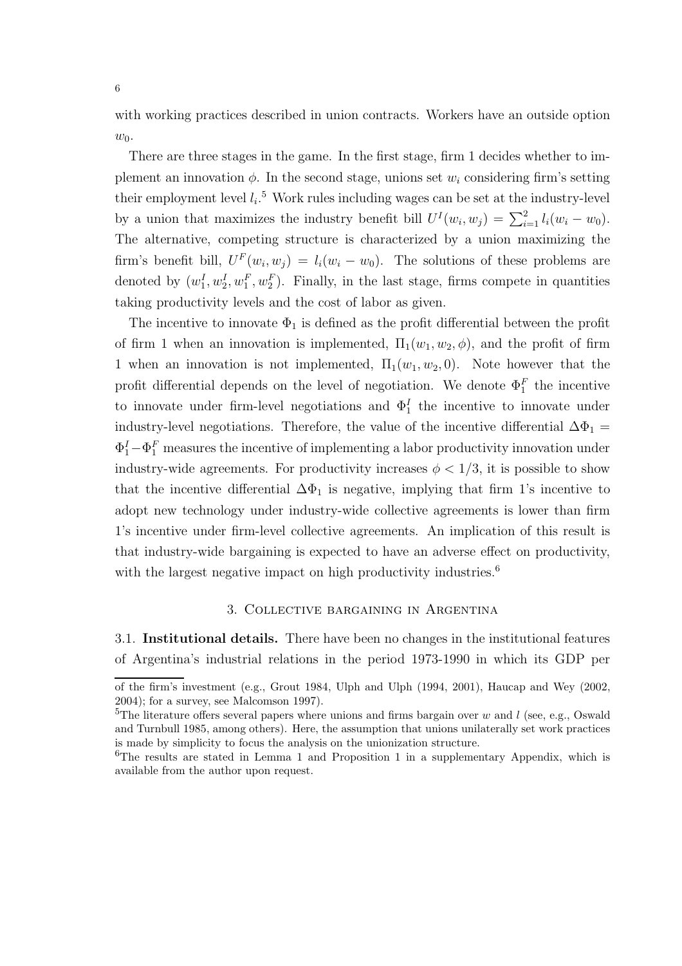with working practices described in union contracts. Workers have an outside option  $w_0$ .

There are three stages in the game. In the first stage, firm 1 decides whether to implement an innovation  $\phi$ . In the second stage, unions set  $w_i$  considering firm's setting their employment level  $l_i$ .<sup>5</sup> Work rules including wages can be set at the industry-level by a union that maximizes the industry benefit bill  $U^{I}(w_i, w_j) = \sum_{i=1}^{2} l_i(w_i - w_0)$ . The alternative, competing structure is characterized by a union maximizing the firm's benefit bill,  $U^F(w_i, w_j) = l_i(w_i - w_0)$ . The solutions of these problems are denoted by  $(w_1^I, w_2^I, w_1^F, w_2^F)$ . Finally, in the last stage, firms compete in quantities taking productivity levels and the cost of labor as given.

The incentive to innovate  $\Phi_1$  is defined as the profit differential between the profit of firm 1 when an innovation is implemented,  $\Pi_1(w_1, w_2, \phi)$ , and the profit of firm 1 when an innovation is not implemented,  $\Pi_1(w_1, w_2, 0)$ . Note however that the profit differential depends on the level of negotiation. We denote  $\Phi_1^F$  the incentive to innovate under firm-level negotiations and  $\Phi_1^I$  the incentive to innovate under industry-level negotiations. Therefore, the value of the incentive differential  $\Delta\Phi_1$  =  $\Phi_1^I - \Phi_1^F$  measures the incentive of implementing a labor productivity innovation under industry-wide agreements. For productivity increases  $\phi < 1/3$ , it is possible to show that the incentive differential  $\Delta \Phi_1$  is negative, implying that firm 1's incentive to adopt new technology under industry-wide collective agreements is lower than firm 1's incentive under firm-level collective agreements. An implication of this result is that industry-wide bargaining is expected to have an adverse effect on productivity, with the largest negative impact on high productivity industries.<sup>6</sup>

## 3. Collective bargaining in Argentina

3.1. Institutional details. There have been no changes in the institutional features of Argentina's industrial relations in the period 1973-1990 in which its GDP per

of the firm's investment (e.g., Grout 1984, Ulph and Ulph (1994, 2001), Haucap and Wey (2002, 2004); for a survey, see Malcomson 1997).

<sup>&</sup>lt;sup>5</sup>The literature offers several papers where unions and firms bargain over w and l (see, e.g., Oswald and Turnbull 1985, among others). Here, the assumption that unions unilaterally set work practices is made by simplicity to focus the analysis on the unionization structure.

<sup>6</sup>The results are stated in Lemma 1 and Proposition 1 in a supplementary Appendix, which is available from the author upon request.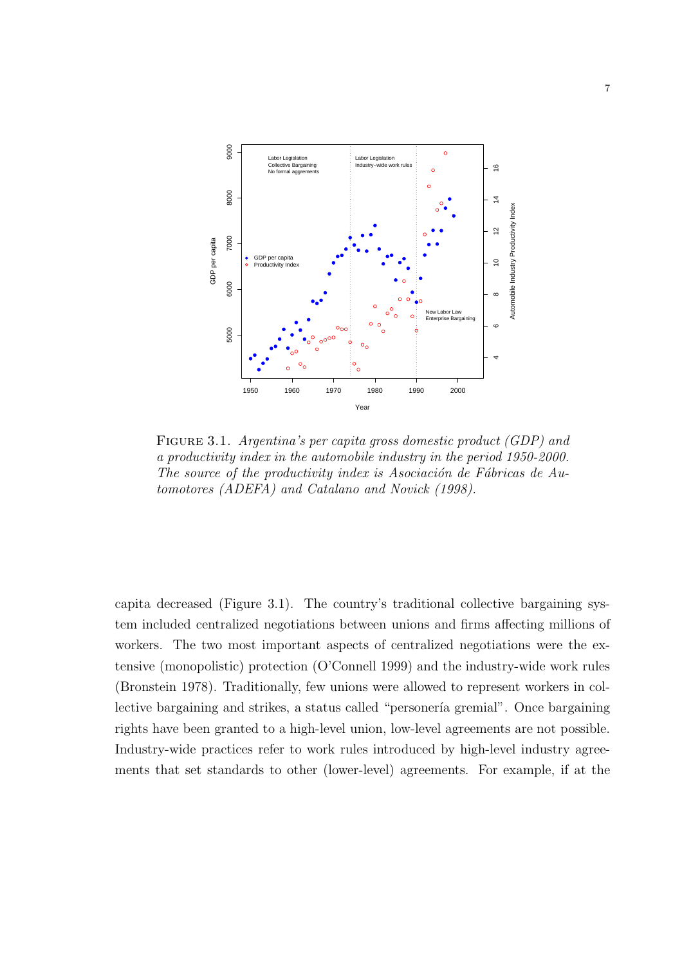

FIGURE 3.1. Argentina's per capita gross domestic product (GDP) and a productivity index in the automobile industry in the period 1950-2000. The source of the productivity index is Asociación de Fábricas de Automotores (ADEFA) and Catalano and Novick (1998).

capita decreased (Figure 3.1). The country's traditional collective bargaining system included centralized negotiations between unions and firms affecting millions of workers. The two most important aspects of centralized negotiations were the extensive (monopolistic) protection (O'Connell 1999) and the industry-wide work rules (Bronstein 1978). Traditionally, few unions were allowed to represent workers in collective bargaining and strikes, a status called "personería gremial". Once bargaining rights have been granted to a high-level union, low-level agreements are not possible. Industry-wide practices refer to work rules introduced by high-level industry agreements that set standards to other (lower-level) agreements. For example, if at the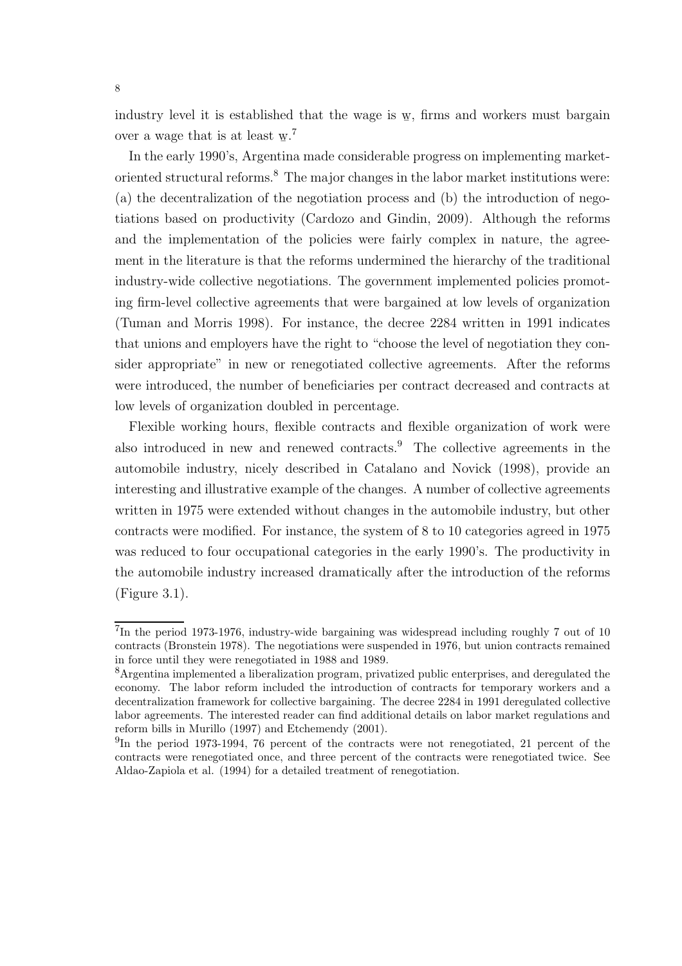industry level it is established that the wage is w **−** , firms and workers must bargain over a wage that is at least  $w$ .<sup>7</sup> ¯

In the early 1990's, Argentina made considerable progress on implementing marketoriented structural reforms.<sup>8</sup> The major changes in the labor market institutions were: (a) the decentralization of the negotiation process and (b) the introduction of negotiations based on productivity (Cardozo and Gindin, 2009). Although the reforms and the implementation of the policies were fairly complex in nature, the agreement in the literature is that the reforms undermined the hierarchy of the traditional industry-wide collective negotiations. The government implemented policies promoting firm-level collective agreements that were bargained at low levels of organization (Tuman and Morris 1998). For instance, the decree 2284 written in 1991 indicates that unions and employers have the right to "choose the level of negotiation they consider appropriate" in new or renegotiated collective agreements. After the reforms were introduced, the number of beneficiaries per contract decreased and contracts at low levels of organization doubled in percentage.

Flexible working hours, flexible contracts and flexible organization of work were also introduced in new and renewed contracts.<sup>9</sup> The collective agreements in the automobile industry, nicely described in Catalano and Novick (1998), provide an interesting and illustrative example of the changes. A number of collective agreements written in 1975 were extended without changes in the automobile industry, but other contracts were modified. For instance, the system of 8 to 10 categories agreed in 1975 was reduced to four occupational categories in the early 1990's. The productivity in the automobile industry increased dramatically after the introduction of the reforms (Figure 3.1).

<sup>&</sup>lt;sup>7</sup>In the period 1973-1976, industry-wide bargaining was widespread including roughly 7 out of 10 contracts (Bronstein 1978). The negotiations were suspended in 1976, but union contracts remained in force until they were renegotiated in 1988 and 1989.

<sup>8</sup>Argentina implemented a liberalization program, privatized public enterprises, and deregulated the economy. The labor reform included the introduction of contracts for temporary workers and a decentralization framework for collective bargaining. The decree 2284 in 1991 deregulated collective labor agreements. The interested reader can find additional details on labor market regulations and reform bills in Murillo (1997) and Etchemendy (2001).

<sup>&</sup>lt;sup>9</sup>In the period 1973-1994, 76 percent of the contracts were not renegotiated, 21 percent of the contracts were renegotiated once, and three percent of the contracts were renegotiated twice. See Aldao-Zapiola et al. (1994) for a detailed treatment of renegotiation.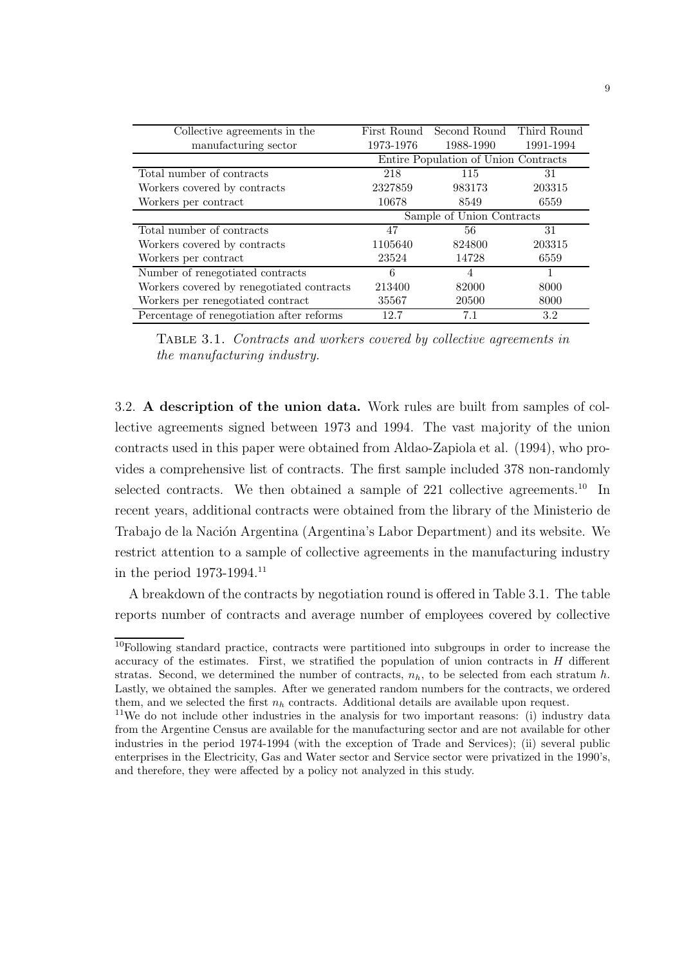| Collective agreements in the              |                                      | First Round Second Round Third Round |           |  |  |
|-------------------------------------------|--------------------------------------|--------------------------------------|-----------|--|--|
| manufacturing sector                      | 1973-1976                            | 1988-1990                            | 1991-1994 |  |  |
|                                           | Entire Population of Union Contracts |                                      |           |  |  |
| Total number of contracts                 | 218                                  | 115                                  | 31        |  |  |
| Workers covered by contracts              | 2327859                              | 983173                               | 203315    |  |  |
| Workers per contract                      | 10678                                | 8549                                 | 6559      |  |  |
|                                           | Sample of Union Contracts            |                                      |           |  |  |
| Total number of contracts                 | 47                                   | 56                                   | 31        |  |  |
| Workers covered by contracts              | 1105640                              | 824800                               | 203315    |  |  |
| Workers per contract                      | 23524                                | 14728                                | 6559      |  |  |
| Number of renegotiated contracts          | 6                                    | $\overline{4}$                       |           |  |  |
| Workers covered by renegotiated contracts | 213400                               | 82000                                | 8000      |  |  |
| Workers per renegotiated contract         | 35567                                | 20500                                | 8000      |  |  |
| Percentage of renegotiation after reforms | 12.7                                 | 7.1                                  | 3.2       |  |  |

Table 3.1. Contracts and workers covered by collective agreements in the manufacturing industry.

3.2. A description of the union data. Work rules are built from samples of collective agreements signed between 1973 and 1994. The vast majority of the union contracts used in this paper were obtained from Aldao-Zapiola et al. (1994), who provides a comprehensive list of contracts. The first sample included 378 non-randomly selected contracts. We then obtained a sample of  $221$  collective agreements.<sup>10</sup> In recent years, additional contracts were obtained from the library of the Ministerio de Trabajo de la Nación Argentina (Argentina's Labor Department) and its website. We restrict attention to a sample of collective agreements in the manufacturing industry in the period  $1973-1994$ .<sup>11</sup>

A breakdown of the contracts by negotiation round is offered in Table 3.1. The table reports number of contracts and average number of employees covered by collective

<sup>&</sup>lt;sup>10</sup>Following standard practice, contracts were partitioned into subgroups in order to increase the accuracy of the estimates. First, we stratified the population of union contracts in  $H$  different stratas. Second, we determined the number of contracts,  $n_h$ , to be selected from each stratum h. Lastly, we obtained the samples. After we generated random numbers for the contracts, we ordered them, and we selected the first  $n_h$  contracts. Additional details are available upon request.

<sup>&</sup>lt;sup>11</sup>We do not include other industries in the analysis for two important reasons: (i) industry data from the Argentine Census are available for the manufacturing sector and are not available for other industries in the period 1974-1994 (with the exception of Trade and Services); (ii) several public enterprises in the Electricity, Gas and Water sector and Service sector were privatized in the 1990's, and therefore, they were affected by a policy not analyzed in this study.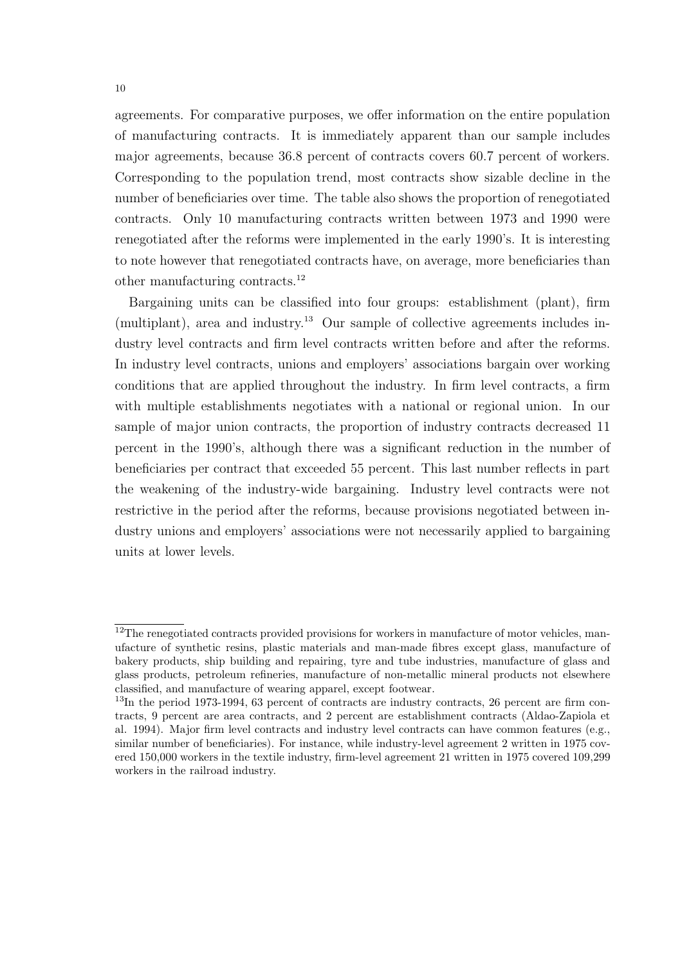agreements. For comparative purposes, we offer information on the entire population of manufacturing contracts. It is immediately apparent than our sample includes major agreements, because 36.8 percent of contracts covers 60.7 percent of workers. Corresponding to the population trend, most contracts show sizable decline in the number of beneficiaries over time. The table also shows the proportion of renegotiated contracts. Only 10 manufacturing contracts written between 1973 and 1990 were renegotiated after the reforms were implemented in the early 1990's. It is interesting to note however that renegotiated contracts have, on average, more beneficiaries than other manufacturing contracts.<sup>12</sup>

Bargaining units can be classified into four groups: establishment (plant), firm  $(multiplant)$ , area and industry.<sup>13</sup> Our sample of collective agreements includes industry level contracts and firm level contracts written before and after the reforms. In industry level contracts, unions and employers' associations bargain over working conditions that are applied throughout the industry. In firm level contracts, a firm with multiple establishments negotiates with a national or regional union. In our sample of major union contracts, the proportion of industry contracts decreased 11 percent in the 1990's, although there was a significant reduction in the number of beneficiaries per contract that exceeded 55 percent. This last number reflects in part the weakening of the industry-wide bargaining. Industry level contracts were not restrictive in the period after the reforms, because provisions negotiated between industry unions and employers' associations were not necessarily applied to bargaining units at lower levels.

 $12$ The renegotiated contracts provided provisions for workers in manufacture of motor vehicles, manufacture of synthetic resins, plastic materials and man-made fibres except glass, manufacture of bakery products, ship building and repairing, tyre and tube industries, manufacture of glass and glass products, petroleum refineries, manufacture of non-metallic mineral products not elsewhere classified, and manufacture of wearing apparel, except footwear.

<sup>&</sup>lt;sup>13</sup>In the period 1973-1994, 63 percent of contracts are industry contracts, 26 percent are firm contracts, 9 percent are area contracts, and 2 percent are establishment contracts (Aldao-Zapiola et al. 1994). Major firm level contracts and industry level contracts can have common features (e.g., similar number of beneficiaries). For instance, while industry-level agreement 2 written in 1975 covered 150,000 workers in the textile industry, firm-level agreement 21 written in 1975 covered 109,299 workers in the railroad industry.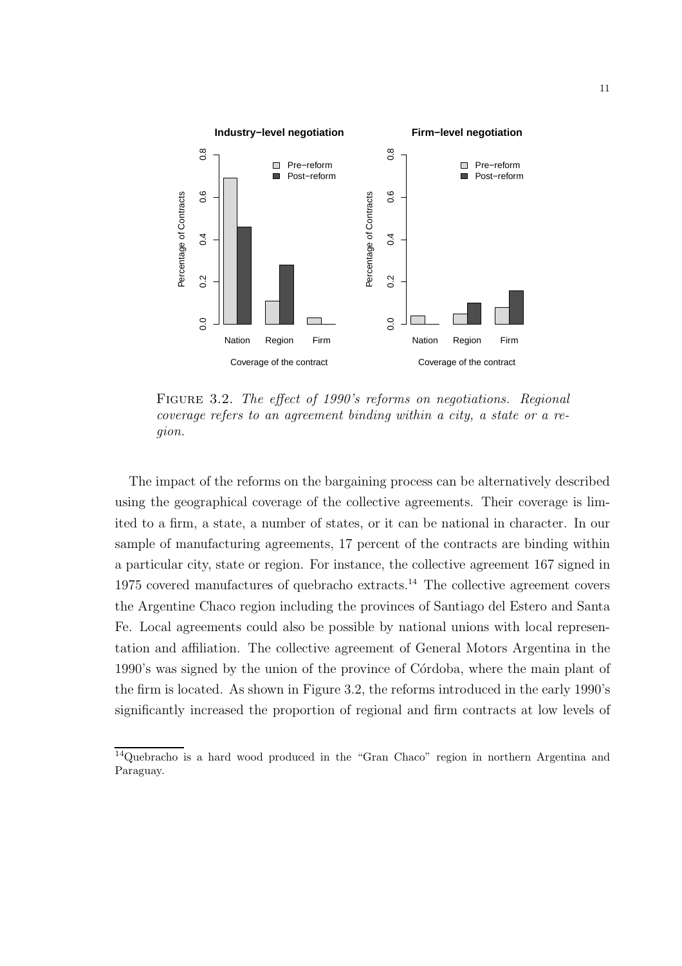

Figure 3.2. The effect of 1990's reforms on negotiations. Regional coverage refers to an agreement binding within a city, a state or a region.

The impact of the reforms on the bargaining process can be alternatively described using the geographical coverage of the collective agreements. Their coverage is limited to a firm, a state, a number of states, or it can be national in character. In our sample of manufacturing agreements, 17 percent of the contracts are binding within a particular city, state or region. For instance, the collective agreement 167 signed in  $1975$  covered manufactures of quebracho extracts.<sup>14</sup> The collective agreement covers the Argentine Chaco region including the provinces of Santiago del Estero and Santa Fe. Local agreements could also be possible by national unions with local representation and affiliation. The collective agreement of General Motors Argentina in the 1990's was signed by the union of the province of Córdoba, where the main plant of the firm is located. As shown in Figure 3.2, the reforms introduced in the early 1990's significantly increased the proportion of regional and firm contracts at low levels of

 $14$ Quebracho is a hard wood produced in the "Gran Chaco" region in northern Argentina and Paraguay.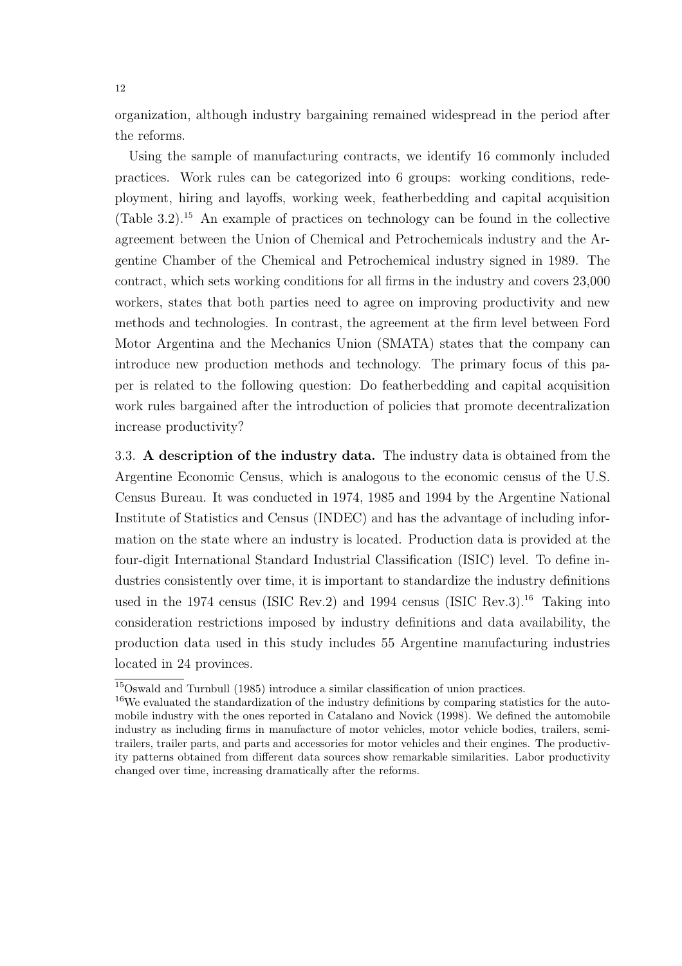organization, although industry bargaining remained widespread in the period after the reforms.

Using the sample of manufacturing contracts, we identify 16 commonly included practices. Work rules can be categorized into 6 groups: working conditions, redeployment, hiring and layoffs, working week, featherbedding and capital acquisition (Table 3.2).<sup>15</sup> An example of practices on technology can be found in the collective agreement between the Union of Chemical and Petrochemicals industry and the Argentine Chamber of the Chemical and Petrochemical industry signed in 1989. The contract, which sets working conditions for all firms in the industry and covers 23,000 workers, states that both parties need to agree on improving productivity and new methods and technologies. In contrast, the agreement at the firm level between Ford Motor Argentina and the Mechanics Union (SMATA) states that the company can introduce new production methods and technology. The primary focus of this paper is related to the following question: Do featherbedding and capital acquisition work rules bargained after the introduction of policies that promote decentralization increase productivity?

3.3. A description of the industry data. The industry data is obtained from the Argentine Economic Census, which is analogous to the economic census of the U.S. Census Bureau. It was conducted in 1974, 1985 and 1994 by the Argentine National Institute of Statistics and Census (INDEC) and has the advantage of including information on the state where an industry is located. Production data is provided at the four-digit International Standard Industrial Classification (ISIC) level. To define industries consistently over time, it is important to standardize the industry definitions used in the 1974 census (ISIC Rev.2) and 1994 census (ISIC Rev.3). <sup>16</sup> Taking into consideration restrictions imposed by industry definitions and data availability, the production data used in this study includes 55 Argentine manufacturing industries located in 24 provinces.

<sup>15</sup>Oswald and Turnbull (1985) introduce a similar classification of union practices.

<sup>&</sup>lt;sup>16</sup>We evaluated the standardization of the industry definitions by comparing statistics for the automobile industry with the ones reported in Catalano and Novick (1998). We defined the automobile industry as including firms in manufacture of motor vehicles, motor vehicle bodies, trailers, semitrailers, trailer parts, and parts and accessories for motor vehicles and their engines. The productivity patterns obtained from different data sources show remarkable similarities. Labor productivity changed over time, increasing dramatically after the reforms.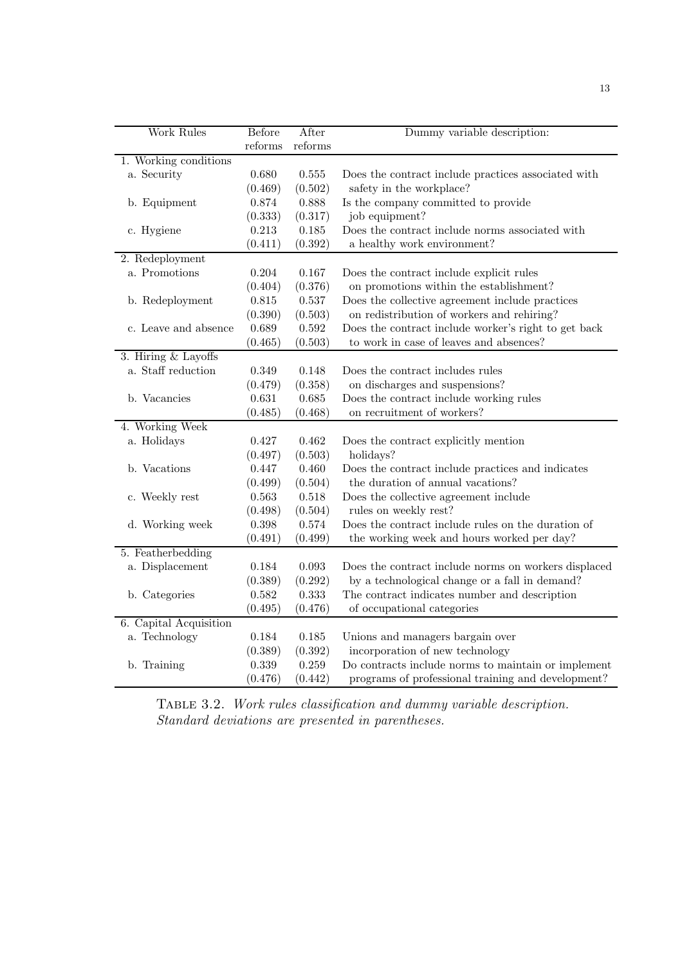| <b>Work Rules</b>      | Before  | After       | Dummy variable description:                          |
|------------------------|---------|-------------|------------------------------------------------------|
|                        | reforms | reforms     |                                                      |
| 1. Working conditions  |         |             |                                                      |
| a. Security            | 0.680   | 0.555       | Does the contract include practices associated with  |
|                        | (0.469) | (0.502)     | safety in the workplace?                             |
| b. Equipment           | 0.874   | 0.888       | Is the company committed to provide                  |
|                        | (0.333) | (0.317)     | job equipment?                                       |
| c. Hygiene             | 0.213   | $0.185\,$   | Does the contract include norms associated with      |
|                        | (0.411) | (0.392)     | a healthy work environment?                          |
| 2. Redeployment        |         |             |                                                      |
| a. Promotions          | 0.204   | 0.167       | Does the contract include explicit rules             |
|                        | (0.404) | (0.376)     | on promotions within the establishment?              |
| b. Redeployment        | 0.815   | $0.537\,$   | Does the collective agreement include practices      |
|                        | (0.390) | (0.503)     | on redistribution of workers and rehiring?           |
| c. Leave and absence   | 0.689   | $\,0.592\,$ | Does the contract include worker's right to get back |
|                        | (0.465) | (0.503)     | to work in case of leaves and absences?              |
| 3. Hiring & Layoffs    |         |             |                                                      |
| a. Staff reduction     | 0.349   | 0.148       | Does the contract includes rules                     |
|                        | (0.479) | (0.358)     | on discharges and suspensions?                       |
| b. Vacancies           | 0.631   | 0.685       | Does the contract include working rules              |
|                        | (0.485) | (0.468)     | on recruitment of workers?                           |
| 4. Working Week        |         |             |                                                      |
| a. Holidays            | 0.427   | 0.462       | Does the contract explicitly mention                 |
|                        | (0.497) | (0.503)     | holidays?                                            |
| b. Vacations           | 0.447   | 0.460       | Does the contract include practices and indicates    |
|                        | (0.499) | (0.504)     | the duration of annual vacations?                    |
| c. Weekly rest         | 0.563   | 0.518       | Does the collective agreement include                |
|                        | (0.498) | (0.504)     | rules on weekly rest?                                |
| d. Working week        | 0.398   | 0.574       | Does the contract include rules on the duration of   |
|                        | (0.491) | (0.499)     | the working week and hours worked per day?           |
| 5. Featherbedding      |         |             |                                                      |
| a. Displacement        | 0.184   | 0.093       | Does the contract include norms on workers displaced |
|                        | (0.389) | (0.292)     | by a technological change or a fall in demand?       |
| b. Categories          | 0.582   | 0.333       | The contract indicates number and description        |
|                        | (0.495) | (0.476)     | of occupational categories                           |
| 6. Capital Acquisition |         |             |                                                      |
| a. Technology          | 0.184   | 0.185       | Unions and managers bargain over                     |
|                        | (0.389) | (0.392)     | incorporation of new technology                      |
| b. Training            | 0.339   | 0.259       | Do contracts include norms to maintain or implement  |
|                        | (0.476) | (0.442)     | programs of professional training and development?   |

Table 3.2. Work rules classification and dummy variable description. Standard deviations are presented in parentheses.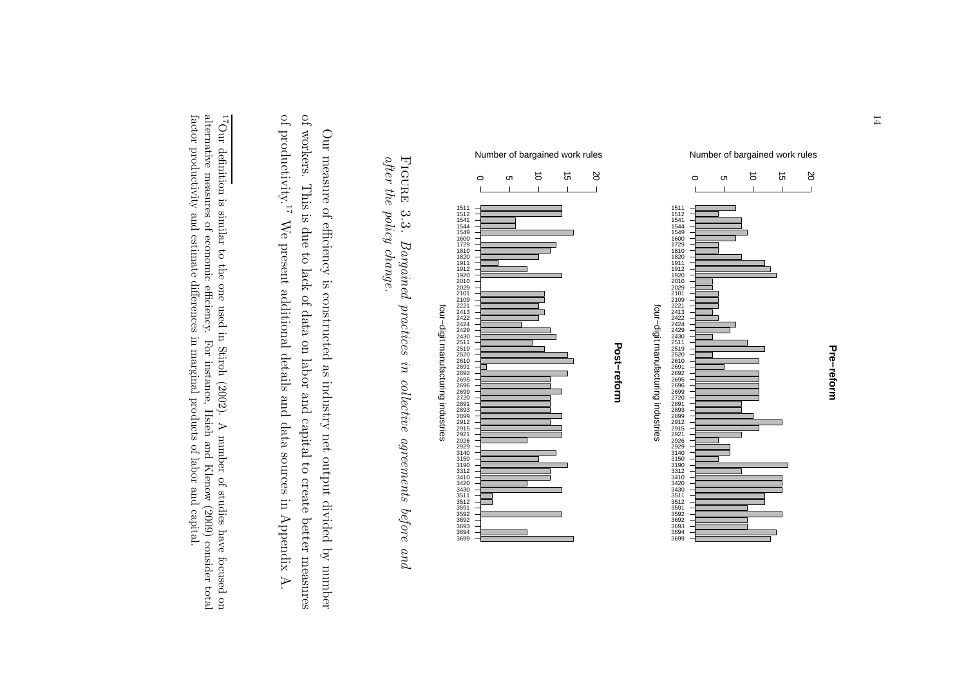

 $after the policy change.$ after the policy change. FIGURE 3.3. Figure 3.3. Bargained practices in collective agreements before and Bargained practices in collective agreements before and

of productivity.<br> $^{\rm 17}$ of workers. This is due to lack of data on labor and capital to create better measures of productivity. of workers. This is due to lack of data on labor and capital to create Our measure of efficiency is constructed as industry net output divided by number Our measure of efficiency is constructed as industry net output divided by number We present additional details and data sources in Appendix A. We present additional details and data sources in Appendix A. better measures

alternative measures of economic efficiency. <sup>17</sup>Our definition is similar to the one used in Stiroh (2002). A number of studies have focused on  $\frac{17}{1}$ factor productivity and estimate differences in marginal products of labor and capital. factor productivity and estimate differences in marginal products alternative measures of economic efficiency. For instance, Hsieh and Klenow (2009) consider total 17Our definition is similar to the one used in Stiroh (2002). A number of studies have focused on For instance, Hsieh and Klenow (2009) consider total of labor and capital.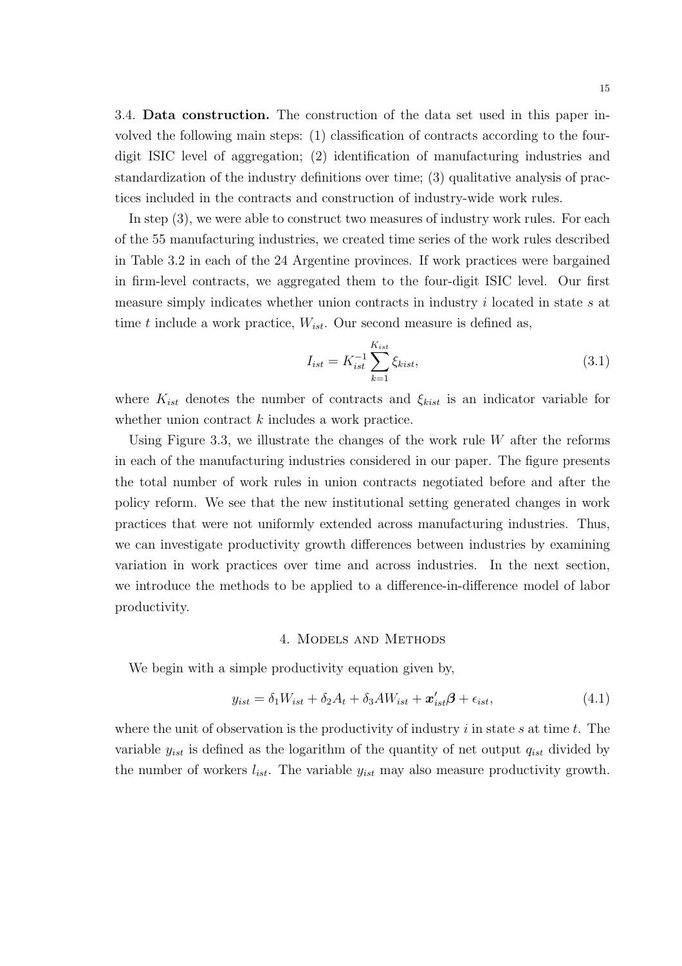3.4. Data construction. The construction of the data set used in this paper involved the following main steps: (1) classification of contracts according to the fourdigit ISIC level of aggregation; (2) identification of manufacturing industries and standardization of the industry definitions over time; (3) qualitative analysis of practices included in the contracts and construction of industry-wide work rules.

In step  $(3)$ , we were able to construct two measures of industry work rules. For each of the 55 manufacturing industries, we created time series of the work rules described in Table 3.2 in each of the 24 Argentine provinces. If work practices were bargained in firm-level contracts, we aggregated them to the four-digit ISIC level. Our first measure simply indicates whether union contracts in industry i located in state s at time t include a work practice,  $W_{ist}$ . Our second measure is defined as,

$$
I_{ist} = K_{ist}^{-1} \sum_{k=1}^{K_{ist}} \xi_{kist},
$$
\n(3.1)

where  $K_{ist}$  denotes the number of contracts and  $\xi_{kist}$  is an indicator variable for whether union contract  $k$  includes a work practice.

Using Figure 3.3, we illustrate the changes of the work rule  $W$  after the reforms in each of the manufacturing industries considered in our paper. The figure presents the total number of work rules in union contracts negotiated before and after the policy reform. We see that the new institutional setting generated changes in work practices that were not uniformly extended across manufacturing industries. Thus, we can investigate productivity growth differences between industries by examining variation in work practices over time and across industries. In the next section, we introduce the methods to be applied to a difference-in-difference model of labor productivity.

#### 4. Models and Methods

We begin with a simple productivity equation given by,

$$
y_{ist} = \delta_1 W_{ist} + \delta_2 A_t + \delta_3 AW_{ist} + \mathbf{x}'_{ist} \mathbf{\beta} + \epsilon_{ist},
$$
\n(4.1)

where the unit of observation is the productivity of industry  $i$  in state  $s$  at time  $t$ . The variable  $y_{ist}$  is defined as the logarithm of the quantity of net output  $q_{ist}$  divided by the number of workers  $l_{ist}$ . The variable  $y_{ist}$  may also measure productivity growth.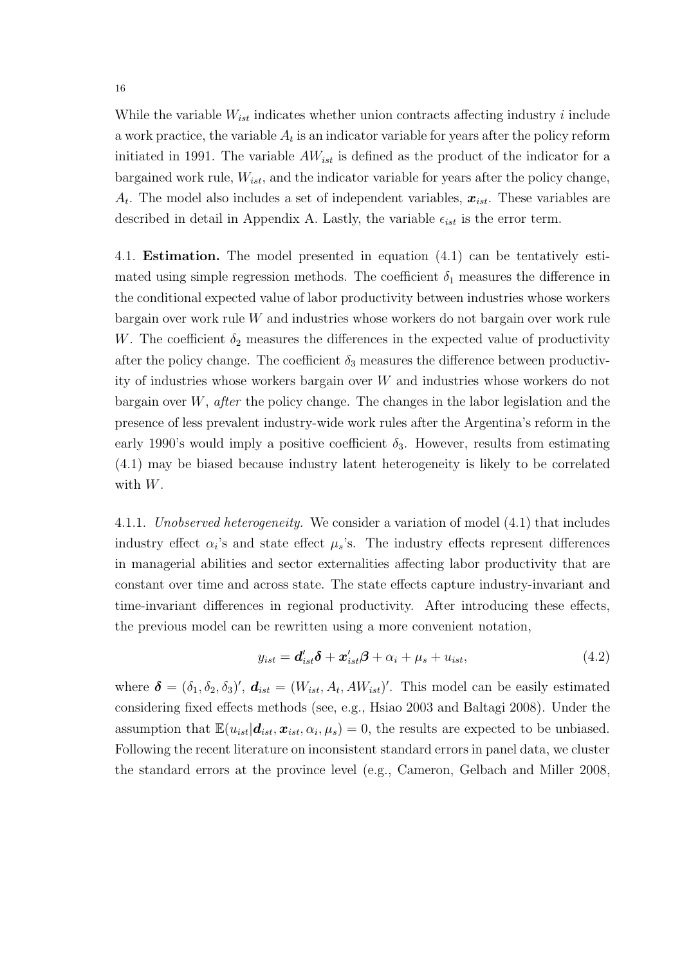While the variable  $W_{ist}$  indicates whether union contracts affecting industry i include a work practice, the variable  $A_t$  is an indicator variable for years after the policy reform initiated in 1991. The variable  $AW_{ist}$  is defined as the product of the indicator for a bargained work rule,  $W_{ist}$ , and the indicator variable for years after the policy change,  $A_t$ . The model also includes a set of independent variables,  $x_{ist}$ . These variables are described in detail in Appendix A. Lastly, the variable  $\epsilon_{ist}$  is the error term.

4.1. Estimation. The model presented in equation (4.1) can be tentatively estimated using simple regression methods. The coefficient  $\delta_1$  measures the difference in the conditional expected value of labor productivity between industries whose workers bargain over work rule W and industries whose workers do not bargain over work rule W. The coefficient  $\delta_2$  measures the differences in the expected value of productivity after the policy change. The coefficient  $\delta_3$  measures the difference between productivity of industries whose workers bargain over W and industries whose workers do not bargain over  $W$ , *after* the policy change. The changes in the labor legislation and the presence of less prevalent industry-wide work rules after the Argentina's reform in the early 1990's would imply a positive coefficient  $\delta_3$ . However, results from estimating (4.1) may be biased because industry latent heterogeneity is likely to be correlated with W.

4.1.1. Unobserved heterogeneity. We consider a variation of model (4.1) that includes industry effect  $\alpha_i$ 's and state effect  $\mu_s$ 's. The industry effects represent differences in managerial abilities and sector externalities affecting labor productivity that are constant over time and across state. The state effects capture industry-invariant and time-invariant differences in regional productivity. After introducing these effects, the previous model can be rewritten using a more convenient notation,

$$
y_{ist} = \mathbf{d}'_{ist}\delta + \mathbf{x}'_{ist}\beta + \alpha_i + \mu_s + u_{ist},
$$
\n(4.2)

where  $\boldsymbol{\delta} = (\delta_1, \delta_2, \delta_3)'$ ,  $\boldsymbol{d}_{ist} = (W_{ist}, A_t, AW_{ist})'$ . This model can be easily estimated considering fixed effects methods (see, e.g., Hsiao 2003 and Baltagi 2008). Under the assumption that  $\mathbb{E}(u_{ist}|\boldsymbol{d}_{ist},\boldsymbol{x}_{ist},\alpha_i,\mu_s)=0$ , the results are expected to be unbiased. Following the recent literature on inconsistent standard errors in panel data, we cluster the standard errors at the province level (e.g., Cameron, Gelbach and Miller 2008,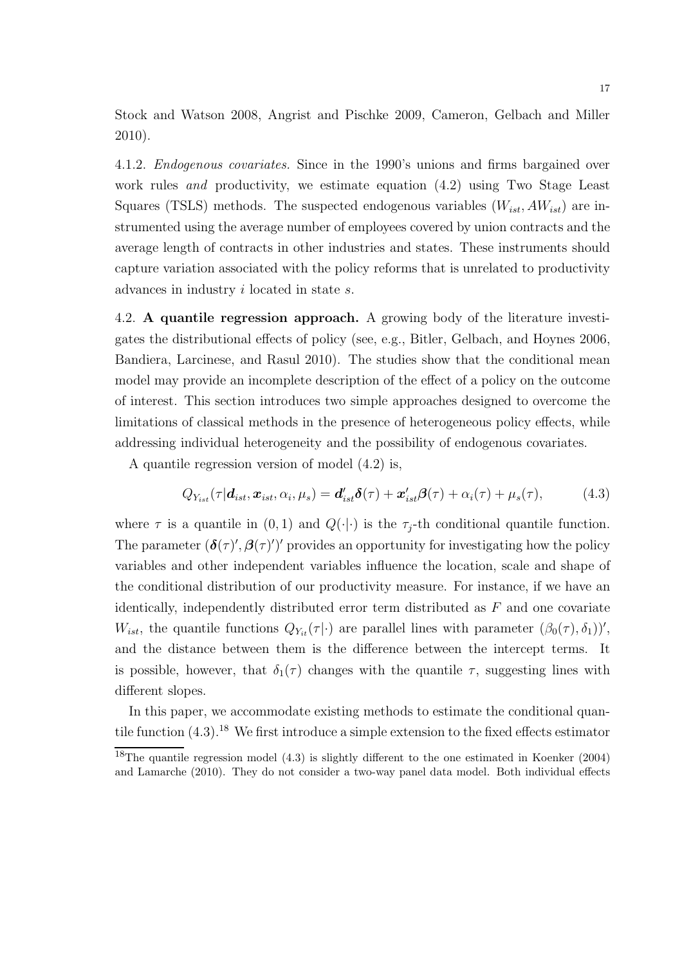Stock and Watson 2008, Angrist and Pischke 2009, Cameron, Gelbach and Miller 2010).

4.1.2. Endogenous covariates. Since in the 1990's unions and firms bargained over work rules and productivity, we estimate equation (4.2) using Two Stage Least Squares (TSLS) methods. The suspected endogenous variables  $(W_{ist}, AW_{ist})$  are instrumented using the average number of employees covered by union contracts and the average length of contracts in other industries and states. These instruments should capture variation associated with the policy reforms that is unrelated to productivity advances in industry i located in state s.

4.2. A quantile regression approach. A growing body of the literature investigates the distributional effects of policy (see, e.g., Bitler, Gelbach, and Hoynes 2006, Bandiera, Larcinese, and Rasul 2010). The studies show that the conditional mean model may provide an incomplete description of the effect of a policy on the outcome of interest. This section introduces two simple approaches designed to overcome the limitations of classical methods in the presence of heterogeneous policy effects, while addressing individual heterogeneity and the possibility of endogenous covariates.

A quantile regression version of model (4.2) is,

$$
Q_{Y_{ist}}(\tau|\boldsymbol{d}_{ist},\boldsymbol{x}_{ist},\alpha_i,\mu_s)=\boldsymbol{d}_{ist}'\boldsymbol{\delta}(\tau)+\boldsymbol{x}_{ist}'\boldsymbol{\beta}(\tau)+\alpha_i(\tau)+\mu_s(\tau), \qquad (4.3)
$$

where  $\tau$  is a quantile in  $(0, 1)$  and  $Q(\cdot | \cdot)$  is the  $\tau_i$ -th conditional quantile function. The parameter  $(\delta(\tau)', \beta(\tau)')'$  provides an opportunity for investigating how the policy variables and other independent variables influence the location, scale and shape of the conditional distribution of our productivity measure. For instance, if we have an identically, independently distributed error term distributed as  $F$  and one covariate  $W_{ist}$ , the quantile functions  $Q_{Y_{it}}(\tau|\cdot)$  are parallel lines with parameter  $(\beta_0(\tau), \delta_1)$ ', and the distance between them is the difference between the intercept terms. It is possible, however, that  $\delta_1(\tau)$  changes with the quantile  $\tau$ , suggesting lines with different slopes.

In this paper, we accommodate existing methods to estimate the conditional quantile function  $(4.3)$ .<sup>18</sup> We first introduce a simple extension to the fixed effects estimator

<sup>&</sup>lt;sup>18</sup>The quantile regression model (4.3) is slightly different to the one estimated in Koenker (2004) and Lamarche (2010). They do not consider a two-way panel data model. Both individual effects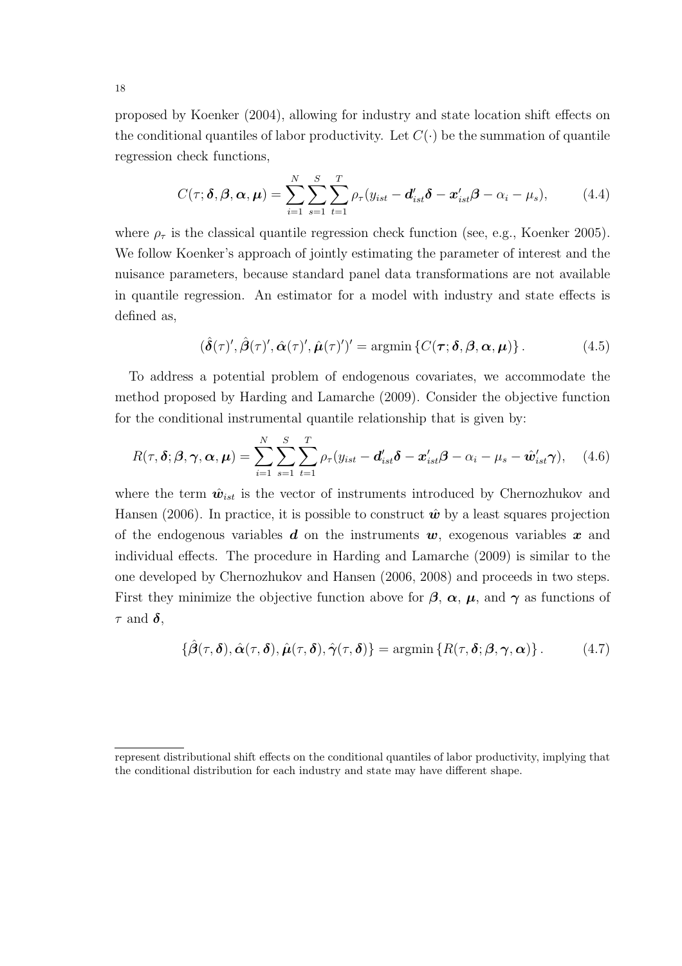proposed by Koenker (2004), allowing for industry and state location shift effects on the conditional quantiles of labor productivity. Let  $C(\cdot)$  be the summation of quantile regression check functions,

$$
C(\tau; \boldsymbol{\delta}, \boldsymbol{\beta}, \boldsymbol{\alpha}, \boldsymbol{\mu}) = \sum_{i=1}^{N} \sum_{s=1}^{S} \sum_{t=1}^{T} \rho_{\tau} (y_{ist} - \boldsymbol{d}_{ist}' \boldsymbol{\delta} - \boldsymbol{x}_{ist}' \boldsymbol{\beta} - \alpha_i - \mu_s), \qquad (4.4)
$$

where  $\rho_{\tau}$  is the classical quantile regression check function (see, e.g., Koenker 2005). We follow Koenker's approach of jointly estimating the parameter of interest and the nuisance parameters, because standard panel data transformations are not available in quantile regression. An estimator for a model with industry and state effects is defined as,

$$
(\hat{\boldsymbol{\delta}}(\tau)', \hat{\boldsymbol{\beta}}(\tau)', \hat{\boldsymbol{\alpha}}(\tau)', \hat{\boldsymbol{\mu}}(\tau)')' = \operatorname{argmin} \{ C(\boldsymbol{\tau}; \boldsymbol{\delta}, \boldsymbol{\beta}, \boldsymbol{\alpha}, \boldsymbol{\mu}) \}.
$$
(4.5)

To address a potential problem of endogenous covariates, we accommodate the method proposed by Harding and Lamarche (2009). Consider the objective function for the conditional instrumental quantile relationship that is given by:

$$
R(\tau, \boldsymbol{\delta}; \boldsymbol{\beta}, \boldsymbol{\gamma}, \boldsymbol{\alpha}, \boldsymbol{\mu}) = \sum_{i=1}^{N} \sum_{s=1}^{S} \sum_{t=1}^{T} \rho_{\tau}(y_{ist} - \boldsymbol{d}_{ist}'\boldsymbol{\delta} - \boldsymbol{x}_{ist}'\boldsymbol{\beta} - \alpha_{i} - \mu_{s} - \hat{\boldsymbol{w}}_{ist}'\boldsymbol{\gamma}), \quad (4.6)
$$

where the term  $\hat{w}_{ist}$  is the vector of instruments introduced by Chernozhukov and Hansen (2006). In practice, it is possible to construct  $\hat{w}$  by a least squares projection of the endogenous variables  $d$  on the instruments  $w$ , exogenous variables  $x$  and individual effects. The procedure in Harding and Lamarche (2009) is similar to the one developed by Chernozhukov and Hansen (2006, 2008) and proceeds in two steps. First they minimize the objective function above for  $\beta$ ,  $\alpha$ ,  $\mu$ , and  $\gamma$  as functions of  $\tau$  and  $\delta$ ,

$$
\{\hat{\boldsymbol{\beta}}(\tau,\boldsymbol{\delta}),\hat{\boldsymbol{\alpha}}(\tau,\boldsymbol{\delta}),\hat{\boldsymbol{\mu}}(\tau,\boldsymbol{\delta}),\hat{\boldsymbol{\gamma}}(\tau,\boldsymbol{\delta})\}=\operatorname{argmin}\left\{R(\tau,\boldsymbol{\delta};\boldsymbol{\beta},\boldsymbol{\gamma},\boldsymbol{\alpha})\right\}.
$$
 (4.7)

represent distributional shift effects on the conditional quantiles of labor productivity, implying that the conditional distribution for each industry and state may have different shape.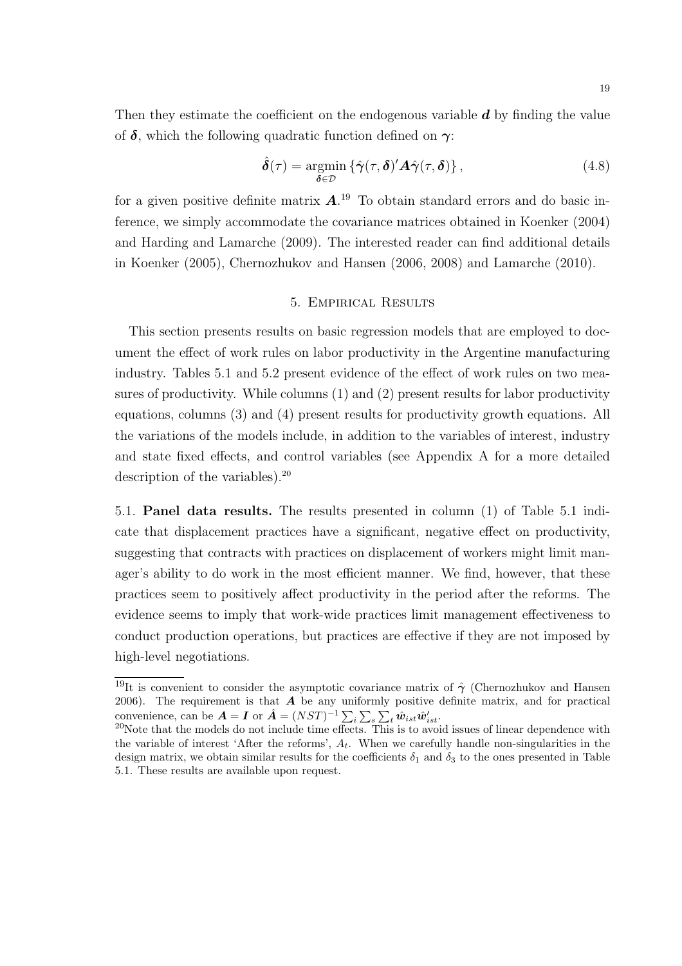Then they estimate the coefficient on the endogenous variable  $d$  by finding the value of  $\delta$ , which the following quadratic function defined on  $\gamma$ :

$$
\hat{\delta}(\tau) = \underset{\delta \in \mathcal{D}}{\operatorname{argmin}} \left\{ \hat{\gamma}(\tau, \delta)' \mathbf{A} \hat{\gamma}(\tau, \delta) \right\},\tag{4.8}
$$

for a given positive definite matrix  $\mathbf{A}^{19}$  To obtain standard errors and do basic inference, we simply accommodate the covariance matrices obtained in Koenker (2004) and Harding and Lamarche (2009). The interested reader can find additional details in Koenker (2005), Chernozhukov and Hansen (2006, 2008) and Lamarche (2010).

### 5. Empirical Results

This section presents results on basic regression models that are employed to document the effect of work rules on labor productivity in the Argentine manufacturing industry. Tables 5.1 and 5.2 present evidence of the effect of work rules on two measures of productivity. While columns (1) and (2) present results for labor productivity equations, columns (3) and (4) present results for productivity growth equations. All the variations of the models include, in addition to the variables of interest, industry and state fixed effects, and control variables (see Appendix A for a more detailed description of the variables).<sup>20</sup>

5.1. Panel data results. The results presented in column (1) of Table 5.1 indicate that displacement practices have a significant, negative effect on productivity, suggesting that contracts with practices on displacement of workers might limit manager's ability to do work in the most efficient manner. We find, however, that these practices seem to positively affect productivity in the period after the reforms. The evidence seems to imply that work-wide practices limit management effectiveness to conduct production operations, but practices are effective if they are not imposed by high-level negotiations.

<sup>&</sup>lt;sup>19</sup>It is convenient to consider the asymptotic covariance matrix of  $\hat{\gamma}$  (Chernozhukov and Hansen 2006). The requirement is that  $\boldsymbol{A}$  be any uniformly positive definite matrix, and for practical convenience, can be  $\mathbf{A} = \mathbf{I}$  or  $\hat{\mathbf{A}} = (NST)^{-1} \sum_i \sum_s \sum_t \hat{\mathbf{w}}_{ist} \hat{\mathbf{w}}'_{ist}$ .

 $20$ Note that the models do not include time effects. This is to avoid issues of linear dependence with the variable of interest 'After the reforms',  $A_t$ . When we carefully handle non-singularities in the design matrix, we obtain similar results for the coefficients  $\delta_1$  and  $\delta_3$  to the ones presented in Table 5.1. These results are available upon request.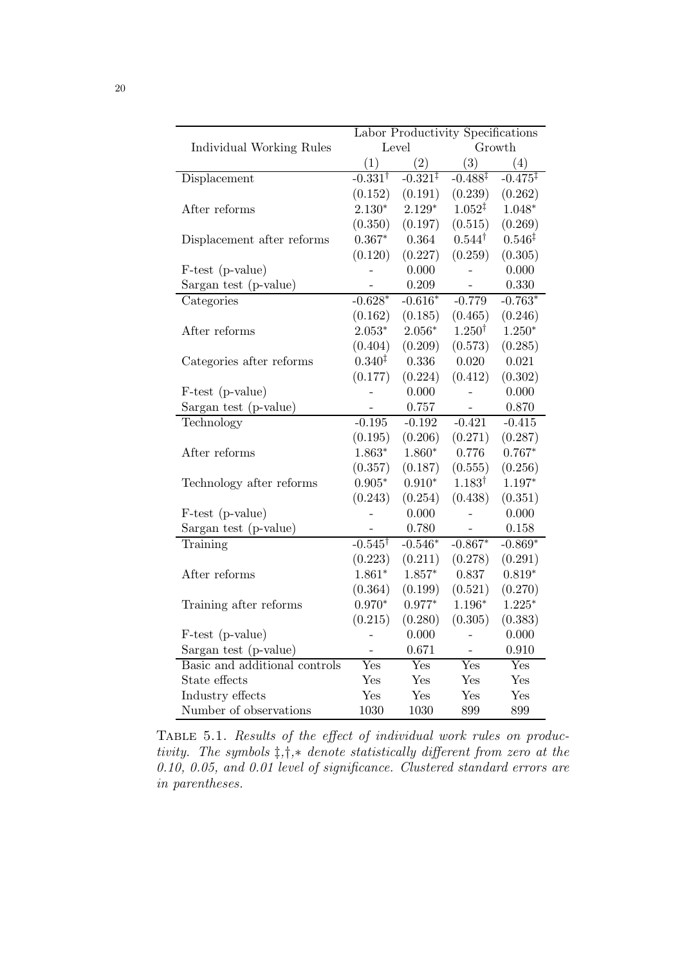|                               | Labor Productivity Specifications |                     |                    |                     |  |  |
|-------------------------------|-----------------------------------|---------------------|--------------------|---------------------|--|--|
| Individual Working Rules      |                                   | Level               | Growth             |                     |  |  |
|                               | (1)                               | (2)                 | (3)                | (4)                 |  |  |
| Displacement                  | $-0.331^{\dagger}$                | $-0.321^{\ddagger}$ | $-0.488‡$          | $-0.475^{\ddagger}$ |  |  |
|                               | (0.152)                           | (0.191)             | (0.239)            | (0.262)             |  |  |
| After reforms                 | $2.130*$                          | $2.129*$            | $1.052^{\ddagger}$ | $1.048*$            |  |  |
|                               | (0.350)                           | (0.197)             | (0.515)            | (0.269)             |  |  |
| Displacement after reforms    | $0.367*$                          | 0.364               | $0.544^{\dagger}$  | $0.546^{\ddagger}$  |  |  |
|                               | (0.120)                           | (0.227)             | (0.259)            | (0.305)             |  |  |
| F-test (p-value)              |                                   | 0.000               |                    | 0.000               |  |  |
| Sargan test (p-value)         | $\overline{\phantom{0}}$          | 0.209               | -                  | 0.330               |  |  |
| Categories                    | $-0.628*$                         | $-0.616*$           | $-0.779$           | $-0.763*$           |  |  |
|                               | (0.162)                           | (0.185)             | (0.465)            | (0.246)             |  |  |
| After reforms                 | $2.053^{\ast}$                    | $2.056*$            | $1.250^{\dagger}$  | $1.250*$            |  |  |
|                               | (0.404)                           | (0.209)             | (0.573)            | (0.285)             |  |  |
| Categories after reforms      | $0.340^{\ddagger}$                | 0.336               | 0.020              | 0.021               |  |  |
|                               | (0.177)                           | (0.224)             | (0.412)            | (0.302)             |  |  |
| F-test (p-value)              |                                   | 0.000               |                    | 0.000               |  |  |
| Sargan test (p-value)         | $\overline{a}$                    | 0.757               | $\overline{a}$     | 0.870               |  |  |
| Technology                    | $-0.195$                          | $-0.192$            | $-0.421$           | $-0.415$            |  |  |
|                               | (0.195)                           | (0.206)             | (0.271)            | (0.287)             |  |  |
| After reforms                 | $1.863*$                          | $1.860*$            | 0.776              | $0.767*$            |  |  |
|                               | (0.357)                           | (0.187)             | (0.555)            | (0.256)             |  |  |
| Technology after reforms      | $0.905*$                          | $0.910*$            | $1.183^{\dagger}$  | $1.197*$            |  |  |
|                               | (0.243)                           | (0.254)             | (0.438)            | (0.351)             |  |  |
| F-test (p-value)              |                                   | 0.000               |                    | 0.000               |  |  |
| Sargan test (p-value)         |                                   | 0.780               |                    | 0.158               |  |  |
| Training                      | $-0.545^{\dagger}$                | $-0.546*$           | $-0.867*$          | $-0.869*$           |  |  |
|                               | (0.223)                           | (0.211)             | (0.278)            | (0.291)             |  |  |
| After reforms                 | $1.861*$                          | $1.857*$            | 0.837              | $0.819*$            |  |  |
|                               | (0.364)                           | (0.199)             | (0.521)            | (0.270)             |  |  |
| Training after reforms        | $0.970*$                          | $0.977*$            | $1.196*$           | $1.225*$            |  |  |
|                               | (0.215)                           | (0.280)             | (0.305)            | (0.383)             |  |  |
| F-test (p-value)              |                                   | 0.000               |                    | 0.000               |  |  |
| Sargan test (p-value)         | $\overline{\phantom{0}}$          | 0.671               | $\qquad \qquad -$  | 0.910               |  |  |
| Basic and additional controls | Yes                               | Yes                 | Yes                | Yes                 |  |  |
| State effects                 | Yes                               | Yes                 | Yes                | Yes                 |  |  |
| Industry effects              | Yes                               | Yes                 | Yes                | Yes                 |  |  |
| Number of observations        | 1030                              | 1030                | 899                | 899                 |  |  |

TABLE 5.1. Results of the effect of individual work rules on productivity. The symbols ‡,†,∗ denote statistically different from zero at the 0.10, 0.05, and 0.01 level of significance. Clustered standard errors are in parentheses.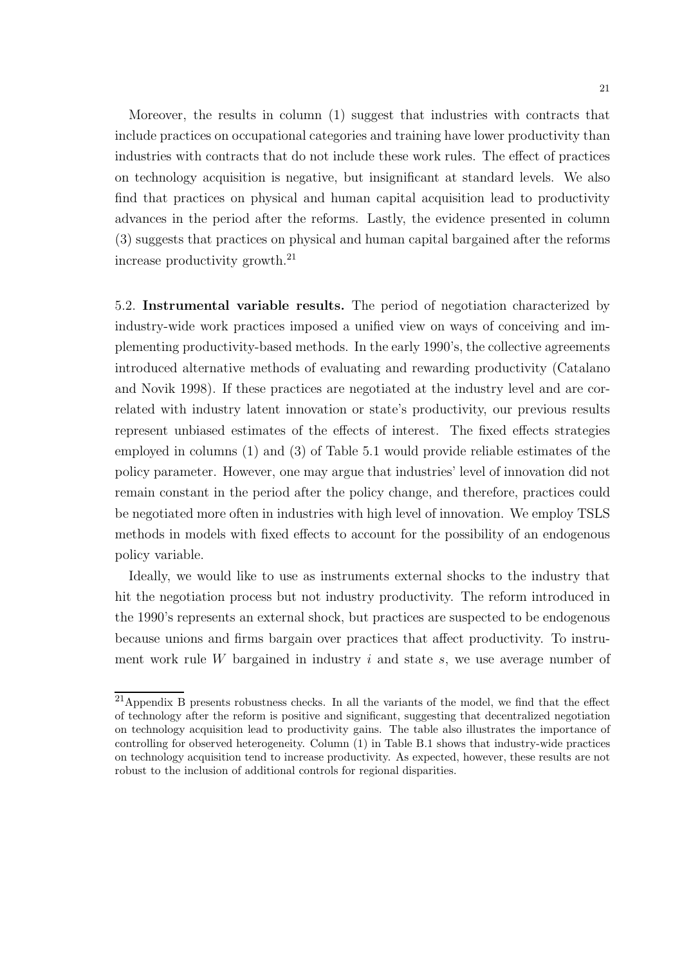Moreover, the results in column (1) suggest that industries with contracts that include practices on occupational categories and training have lower productivity than industries with contracts that do not include these work rules. The effect of practices on technology acquisition is negative, but insignificant at standard levels. We also find that practices on physical and human capital acquisition lead to productivity advances in the period after the reforms. Lastly, the evidence presented in column (3) suggests that practices on physical and human capital bargained after the reforms increase productivity growth.<sup>21</sup>

5.2. Instrumental variable results. The period of negotiation characterized by industry-wide work practices imposed a unified view on ways of conceiving and implementing productivity-based methods. In the early 1990's, the collective agreements introduced alternative methods of evaluating and rewarding productivity (Catalano and Novik 1998). If these practices are negotiated at the industry level and are correlated with industry latent innovation or state's productivity, our previous results represent unbiased estimates of the effects of interest. The fixed effects strategies employed in columns (1) and (3) of Table 5.1 would provide reliable estimates of the policy parameter. However, one may argue that industries' level of innovation did not remain constant in the period after the policy change, and therefore, practices could be negotiated more often in industries with high level of innovation. We employ TSLS methods in models with fixed effects to account for the possibility of an endogenous policy variable.

Ideally, we would like to use as instruments external shocks to the industry that hit the negotiation process but not industry productivity. The reform introduced in the 1990's represents an external shock, but practices are suspected to be endogenous because unions and firms bargain over practices that affect productivity. To instrument work rule W bargained in industry  $i$  and state  $s$ , we use average number of

<sup>21</sup>Appendix B presents robustness checks. In all the variants of the model, we find that the effect of technology after the reform is positive and significant, suggesting that decentralized negotiation on technology acquisition lead to productivity gains. The table also illustrates the importance of controlling for observed heterogeneity. Column (1) in Table B.1 shows that industry-wide practices on technology acquisition tend to increase productivity. As expected, however, these results are not robust to the inclusion of additional controls for regional disparities.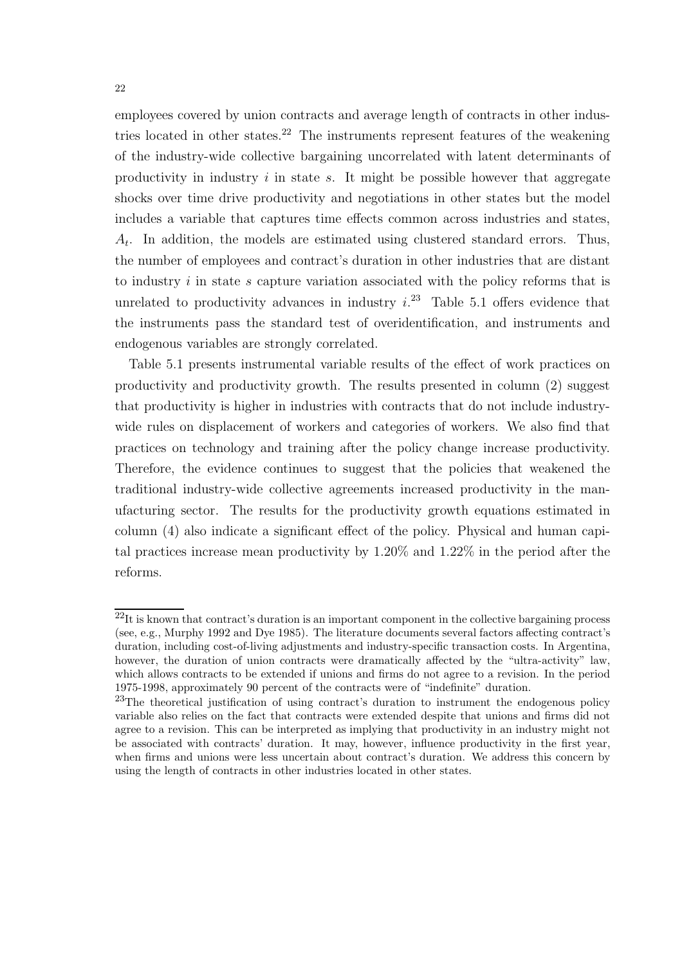employees covered by union contracts and average length of contracts in other industries located in other states.<sup>22</sup> The instruments represent features of the weakening of the industry-wide collective bargaining uncorrelated with latent determinants of productivity in industry  $i$  in state  $s$ . It might be possible however that aggregate shocks over time drive productivity and negotiations in other states but the model includes a variable that captures time effects common across industries and states,  $A_t$ . In addition, the models are estimated using clustered standard errors. Thus, the number of employees and contract's duration in other industries that are distant to industry  $i$  in state  $s$  capture variation associated with the policy reforms that is unrelated to productivity advances in industry  $i^{23}$  Table 5.1 offers evidence that the instruments pass the standard test of overidentification, and instruments and endogenous variables are strongly correlated.

Table 5.1 presents instrumental variable results of the effect of work practices on productivity and productivity growth. The results presented in column (2) suggest that productivity is higher in industries with contracts that do not include industrywide rules on displacement of workers and categories of workers. We also find that practices on technology and training after the policy change increase productivity. Therefore, the evidence continues to suggest that the policies that weakened the traditional industry-wide collective agreements increased productivity in the manufacturing sector. The results for the productivity growth equations estimated in column (4) also indicate a significant effect of the policy. Physical and human capital practices increase mean productivity by 1.20% and 1.22% in the period after the reforms.

 $^{22}$ It is known that contract's duration is an important component in the collective bargaining process (see, e.g., Murphy 1992 and Dye 1985). The literature documents several factors affecting contract's duration, including cost-of-living adjustments and industry-specific transaction costs. In Argentina, however, the duration of union contracts were dramatically affected by the "ultra-activity" law, which allows contracts to be extended if unions and firms do not agree to a revision. In the period 1975-1998, approximately 90 percent of the contracts were of "indefinite" duration.

<sup>&</sup>lt;sup>23</sup>The theoretical justification of using contract's duration to instrument the endogenous policy variable also relies on the fact that contracts were extended despite that unions and firms did not agree to a revision. This can be interpreted as implying that productivity in an industry might not be associated with contracts' duration. It may, however, influence productivity in the first year, when firms and unions were less uncertain about contract's duration. We address this concern by using the length of contracts in other industries located in other states.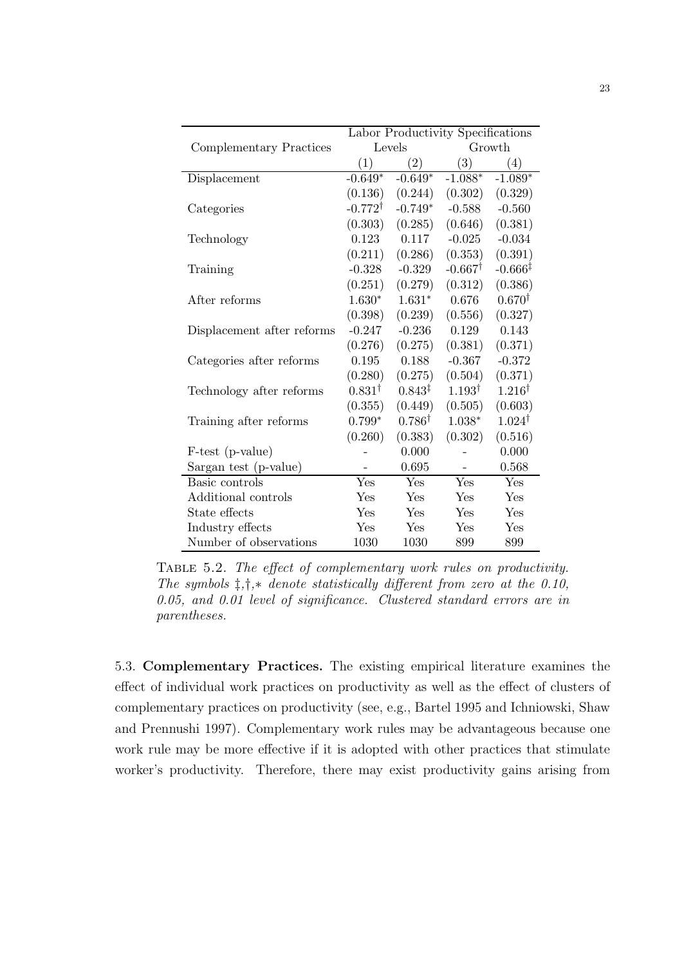|                            | Labor Productivity Specifications |                            |                    |                     |  |  |
|----------------------------|-----------------------------------|----------------------------|--------------------|---------------------|--|--|
| Complementary Practices    |                                   | Levels                     | Growth             |                     |  |  |
|                            | (1)                               | $\left( 2\right)$          | (3)                | (4)                 |  |  |
| Displacement               | $-0.649*$                         | $-0.649*$                  | $-1.088*$          | $-1.089*$           |  |  |
|                            | (0.136)                           | (0.244)                    | (0.302)            | (0.329)             |  |  |
| Categories                 | $-0.772^{\dagger}$                | $-0.749*$                  | $-0.588$           | $-0.560$            |  |  |
|                            | (0.303)                           | (0.285)                    | (0.646)            | (0.381)             |  |  |
| Technology                 | 0.123                             | 0.117                      | $-0.025$           | $-0.034$            |  |  |
|                            | (0.211)                           | (0.286)                    | (0.353)            | (0.391)             |  |  |
| Training                   | $-0.328$                          | $-0.329$                   | $-0.667^{\dagger}$ | $-0.666^{\ddagger}$ |  |  |
|                            | (0.251)                           | (0.279)                    | (0.312)            | (0.386)             |  |  |
| After reforms              | $1.630*$                          | $1.631*$                   | 0.676              | $0.670^{\dagger}$   |  |  |
|                            | (0.398)                           | (0.239)                    | (0.556)            | (0.327)             |  |  |
| Displacement after reforms | $-0.247$                          | $-0.236$                   | 0.129              | 0.143               |  |  |
|                            | (0.276)                           | (0.275)                    | (0.381)            | (0.371)             |  |  |
| Categories after reforms   | 0.195                             | 0.188                      | $-0.367$           | $-0.372$            |  |  |
|                            | (0.280)                           | (0.275)                    | (0.504)            | (0.371)             |  |  |
| Technology after reforms   | $0.831^{\dagger}$                 | $0.843^{\ddagger}$         | $1.193^{\dagger}$  | $1.216^{\dagger}$   |  |  |
|                            | (0.355)                           | (0.449)                    | (0.505)            | (0.603)             |  |  |
| Training after reforms     | $0.799*$                          | $0.786^{\dagger}$          | 1.038*             | $1.024^{\dagger}$   |  |  |
|                            | (0.260)                           | (0.383)                    | (0.302)            | (0.516)             |  |  |
| F-test (p-value)           |                                   | 0.000                      |                    | 0.000               |  |  |
| Sargan test (p-value)      |                                   | 0.695                      |                    | 0.568               |  |  |
| Basic controls             | Yes                               | $\overline{\mathrm{Y}}$ es | Yes                | Yes                 |  |  |
| Additional controls        | Yes                               | Yes                        | Yes                | Yes                 |  |  |
| State effects              | Yes                               | Yes                        | Yes                | Yes                 |  |  |
| Industry effects           | Yes                               | Yes                        | Yes                | Yes                 |  |  |
| Number of observations     | 1030                              | 1030                       | 899                | 899                 |  |  |

Table 5.2. The effect of complementary work rules on productivity. The symbols  $\ddagger$ , $\dagger$ , $*$  denote statistically different from zero at the 0.10, 0.05, and 0.01 level of significance. Clustered standard errors are in parentheses.

5.3. Complementary Practices. The existing empirical literature examines the effect of individual work practices on productivity as well as the effect of clusters of complementary practices on productivity (see, e.g., Bartel 1995 and Ichniowski, Shaw and Prennushi 1997). Complementary work rules may be advantageous because one work rule may be more effective if it is adopted with other practices that stimulate worker's productivity. Therefore, there may exist productivity gains arising from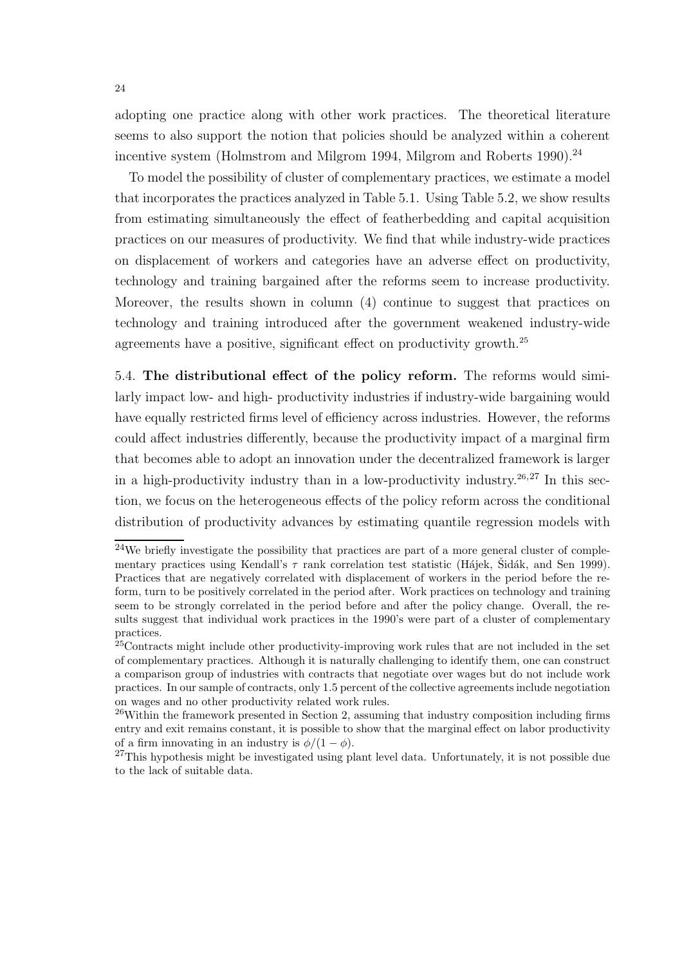adopting one practice along with other work practices. The theoretical literature seems to also support the notion that policies should be analyzed within a coherent incentive system (Holmstrom and Milgrom 1994, Milgrom and Roberts 1990).<sup>24</sup>

To model the possibility of cluster of complementary practices, we estimate a model that incorporates the practices analyzed in Table 5.1. Using Table 5.2, we show results from estimating simultaneously the effect of featherbedding and capital acquisition practices on our measures of productivity. We find that while industry-wide practices on displacement of workers and categories have an adverse effect on productivity, technology and training bargained after the reforms seem to increase productivity. Moreover, the results shown in column (4) continue to suggest that practices on technology and training introduced after the government weakened industry-wide agreements have a positive, significant effect on productivity growth.<sup>25</sup>

5.4. The distributional effect of the policy reform. The reforms would similarly impact low- and high- productivity industries if industry-wide bargaining would have equally restricted firms level of efficiency across industries. However, the reforms could affect industries differently, because the productivity impact of a marginal firm that becomes able to adopt an innovation under the decentralized framework is larger in a high-productivity industry than in a low-productivity industry.<sup>26,27</sup> In this section, we focus on the heterogeneous effects of the policy reform across the conditional distribution of productivity advances by estimating quantile regression models with

 $24$ We briefly investigate the possibility that practices are part of a more general cluster of complementary practices using Kendall's  $\tau$  rank correlation test statistic (Hajek, Sidák, and Sen 1999). Practices that are negatively correlated with displacement of workers in the period before the reform, turn to be positively correlated in the period after. Work practices on technology and training seem to be strongly correlated in the period before and after the policy change. Overall, the results suggest that individual work practices in the 1990's were part of a cluster of complementary practices.

<sup>&</sup>lt;sup>25</sup>Contracts might include other productivity-improving work rules that are not included in the set of complementary practices. Although it is naturally challenging to identify them, one can construct a comparison group of industries with contracts that negotiate over wages but do not include work practices. In our sample of contracts, only 1.5 percent of the collective agreements include negotiation on wages and no other productivity related work rules.

 $26$ Within the framework presented in Section 2, assuming that industry composition including firms entry and exit remains constant, it is possible to show that the marginal effect on labor productivity of a firm innovating in an industry is  $\phi/(1-\phi)$ .

<sup>&</sup>lt;sup>27</sup>This hypothesis might be investigated using plant level data. Unfortunately, it is not possible due to the lack of suitable data.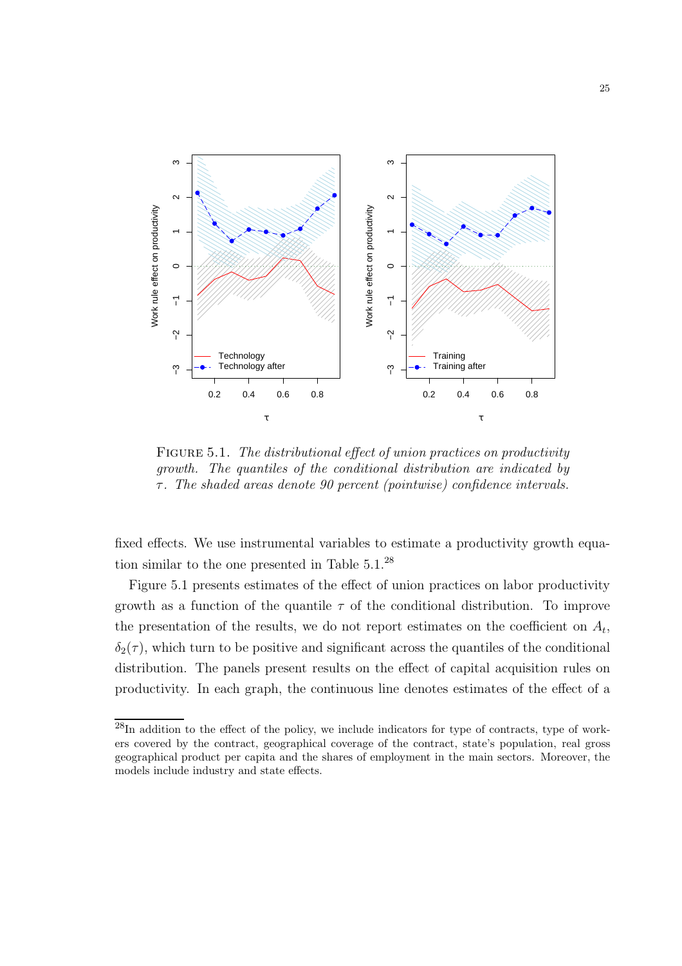

FIGURE 5.1. The distributional effect of union practices on productivity growth. The quantiles of the conditional distribution are indicated by  $\tau$ . The shaded areas denote 90 percent (pointwise) confidence intervals.

fixed effects. We use instrumental variables to estimate a productivity growth equation similar to the one presented in Table 5.1.<sup>28</sup>

Figure 5.1 presents estimates of the effect of union practices on labor productivity growth as a function of the quantile  $\tau$  of the conditional distribution. To improve the presentation of the results, we do not report estimates on the coefficient on  $A_t$ ,  $\delta_2(\tau)$ , which turn to be positive and significant across the quantiles of the conditional distribution. The panels present results on the effect of capital acquisition rules on productivity. In each graph, the continuous line denotes estimates of the effect of a

 $28$ In addition to the effect of the policy, we include indicators for type of contracts, type of workers covered by the contract, geographical coverage of the contract, state's population, real gross geographical product per capita and the shares of employment in the main sectors. Moreover, the models include industry and state effects.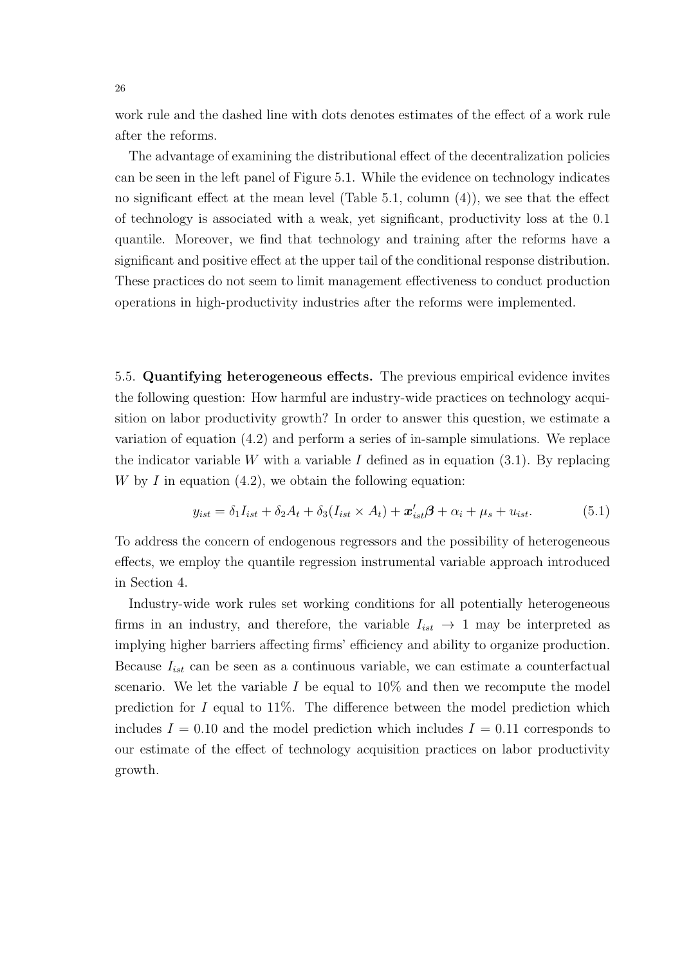work rule and the dashed line with dots denotes estimates of the effect of a work rule after the reforms.

The advantage of examining the distributional effect of the decentralization policies can be seen in the left panel of Figure 5.1. While the evidence on technology indicates no significant effect at the mean level (Table 5.1, column (4)), we see that the effect of technology is associated with a weak, yet significant, productivity loss at the 0.1 quantile. Moreover, we find that technology and training after the reforms have a significant and positive effect at the upper tail of the conditional response distribution. These practices do not seem to limit management effectiveness to conduct production operations in high-productivity industries after the reforms were implemented.

5.5. Quantifying heterogeneous effects. The previous empirical evidence invites the following question: How harmful are industry-wide practices on technology acquisition on labor productivity growth? In order to answer this question, we estimate a variation of equation (4.2) and perform a series of in-sample simulations. We replace the indicator variable W with a variable I defined as in equation  $(3.1)$ . By replacing W by I in equation  $(4.2)$ , we obtain the following equation:

$$
y_{ist} = \delta_1 I_{ist} + \delta_2 A_t + \delta_3 (I_{ist} \times A_t) + \mathbf{x}'_{ist} \boldsymbol{\beta} + \alpha_i + \mu_s + u_{ist}. \tag{5.1}
$$

To address the concern of endogenous regressors and the possibility of heterogeneous effects, we employ the quantile regression instrumental variable approach introduced in Section 4.

Industry-wide work rules set working conditions for all potentially heterogeneous firms in an industry, and therefore, the variable  $I_{ist} \rightarrow 1$  may be interpreted as implying higher barriers affecting firms' efficiency and ability to organize production. Because  $I_{ist}$  can be seen as a continuous variable, we can estimate a counterfactual scenario. We let the variable I be equal to  $10\%$  and then we recompute the model prediction for  $I$  equal to 11%. The difference between the model prediction which includes  $I = 0.10$  and the model prediction which includes  $I = 0.11$  corresponds to our estimate of the effect of technology acquisition practices on labor productivity growth.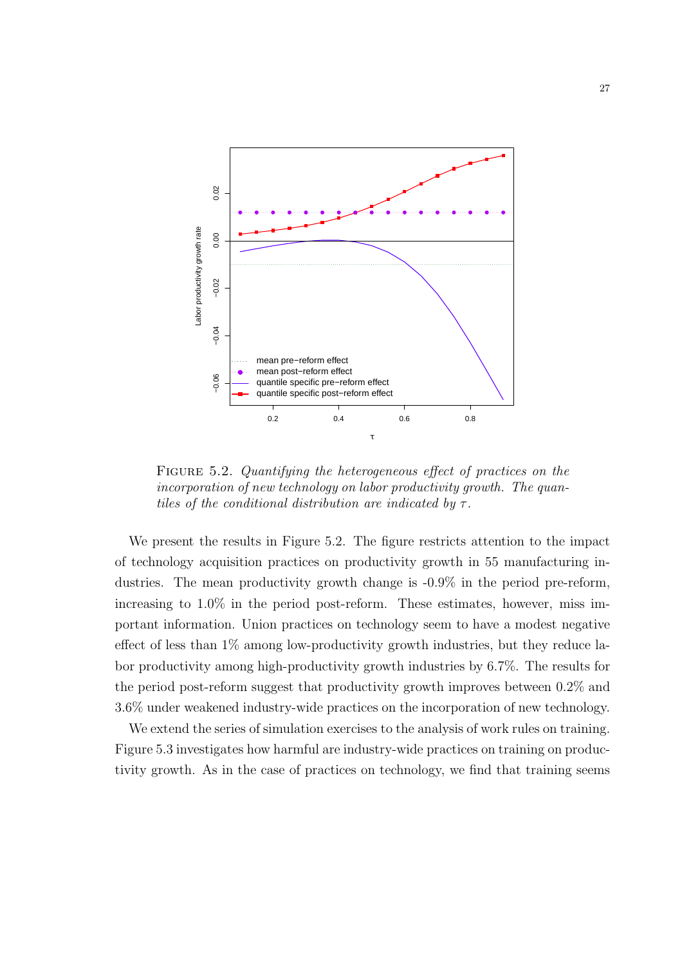

FIGURE 5.2. Quantifying the heterogeneous effect of practices on the incorporation of new technology on labor productivity growth. The quantiles of the conditional distribution are indicated by  $\tau$ .

We present the results in Figure 5.2. The figure restricts attention to the impact of technology acquisition practices on productivity growth in 55 manufacturing industries. The mean productivity growth change is -0.9% in the period pre-reform, increasing to 1.0% in the period post-reform. These estimates, however, miss important information. Union practices on technology seem to have a modest negative effect of less than 1% among low-productivity growth industries, but they reduce labor productivity among high-productivity growth industries by 6.7%. The results for the period post-reform suggest that productivity growth improves between 0.2% and 3.6% under weakened industry-wide practices on the incorporation of new technology.

We extend the series of simulation exercises to the analysis of work rules on training. Figure 5.3 investigates how harmful are industry-wide practices on training on productivity growth. As in the case of practices on technology, we find that training seems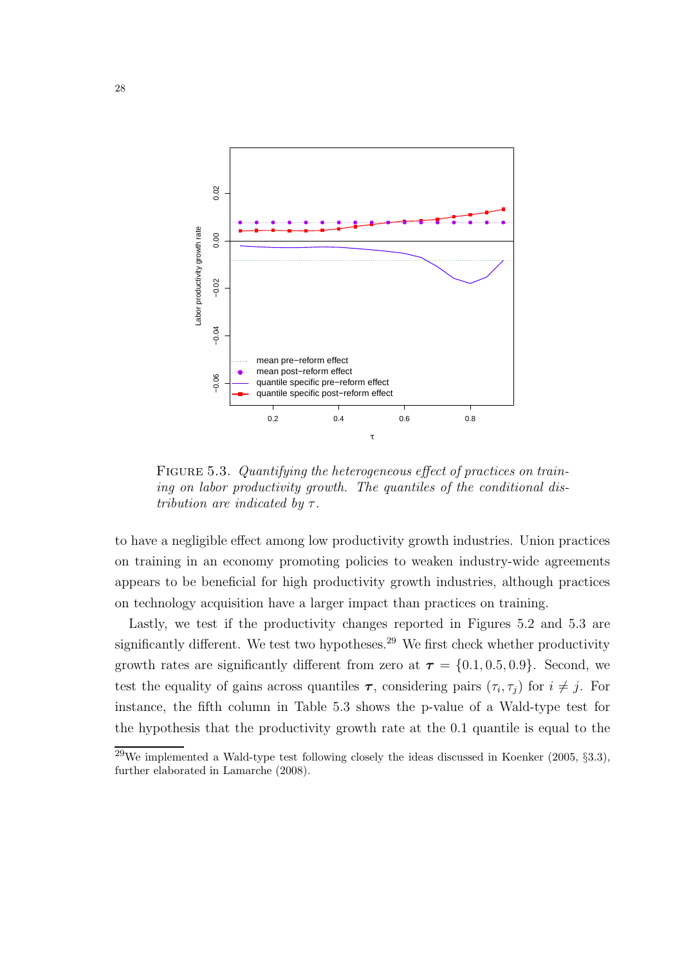

FIGURE 5.3. Quantifying the heterogeneous effect of practices on training on labor productivity growth. The quantiles of the conditional distribution are indicated by  $\tau$ .

to have a negligible effect among low productivity growth industries. Union practices on training in an economy promoting policies to weaken industry-wide agreements appears to be beneficial for high productivity growth industries, although practices on technology acquisition have a larger impact than practices on training.

Lastly, we test if the productivity changes reported in Figures 5.2 and 5.3 are significantly different. We test two hypotheses.<sup>29</sup> We first check whether productivity growth rates are significantly different from zero at  $\tau = \{0.1, 0.5, 0.9\}$ . Second, we test the equality of gains across quantiles  $\tau$ , considering pairs  $(\tau_i, \tau_j)$  for  $i \neq j$ . For instance, the fifth column in Table 5.3 shows the p-value of a Wald-type test for the hypothesis that the productivity growth rate at the 0.1 quantile is equal to the

 $^{29}$ We implemented a Wald-type test following closely the ideas discussed in Koenker (2005, §3.3), further elaborated in Lamarche (2008).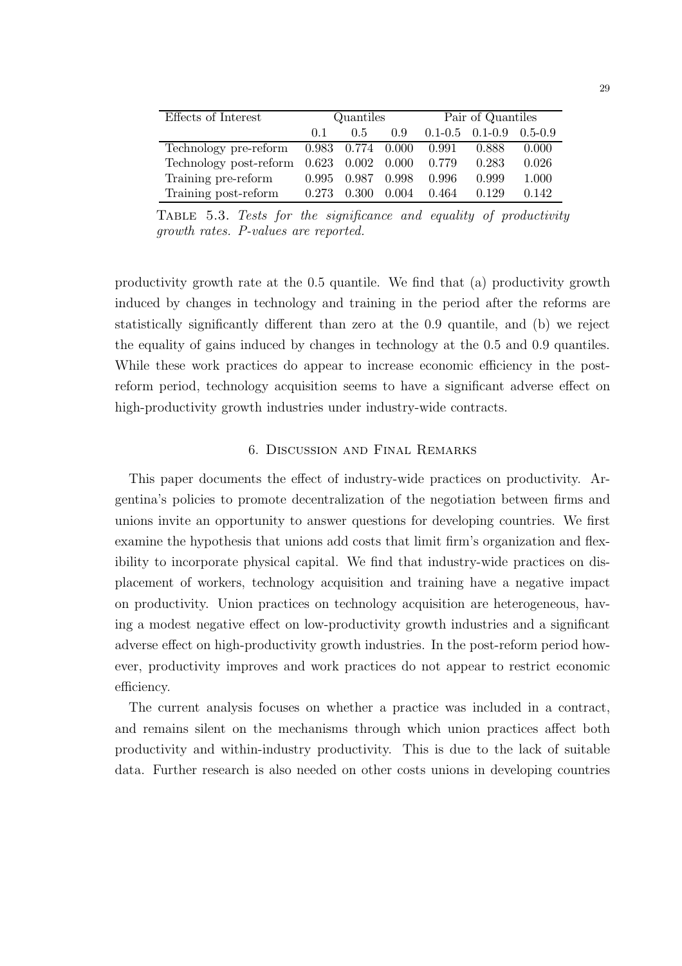| Effects of Interest                            | Quantiles |                   |  | Pair of Quantiles       |                                     |       |
|------------------------------------------------|-----------|-------------------|--|-------------------------|-------------------------------------|-------|
|                                                | 0.1       | 0.5               |  |                         | $0.9$ $0.1-0.5$ $0.1-0.9$ $0.5-0.9$ |       |
| Technology pre-reform 0.983 0.774 0.000 0.991  |           |                   |  |                         | 0.888                               | 0.000 |
| Technology post-reform 0.623 0.002 0.000 0.779 |           |                   |  |                         | 0.283                               | 0.026 |
| Training pre-reform                            |           | 0.995 0.987 0.998 |  | 0.996                   | 0.999                               | 1.000 |
| Training post-reform                           | 0.273     |                   |  | $0.300$ $0.004$ $0.464$ | 0.129                               | 0.142 |

Table 5.3. Tests for the significance and equality of productivity growth rates. P-values are reported.

productivity growth rate at the 0.5 quantile. We find that (a) productivity growth induced by changes in technology and training in the period after the reforms are statistically significantly different than zero at the 0.9 quantile, and (b) we reject the equality of gains induced by changes in technology at the 0.5 and 0.9 quantiles. While these work practices do appear to increase economic efficiency in the postreform period, technology acquisition seems to have a significant adverse effect on high-productivity growth industries under industry-wide contracts.

## 6. Discussion and Final Remarks

This paper documents the effect of industry-wide practices on productivity. Argentina's policies to promote decentralization of the negotiation between firms and unions invite an opportunity to answer questions for developing countries. We first examine the hypothesis that unions add costs that limit firm's organization and flexibility to incorporate physical capital. We find that industry-wide practices on displacement of workers, technology acquisition and training have a negative impact on productivity. Union practices on technology acquisition are heterogeneous, having a modest negative effect on low-productivity growth industries and a significant adverse effect on high-productivity growth industries. In the post-reform period however, productivity improves and work practices do not appear to restrict economic efficiency.

The current analysis focuses on whether a practice was included in a contract, and remains silent on the mechanisms through which union practices affect both productivity and within-industry productivity. This is due to the lack of suitable data. Further research is also needed on other costs unions in developing countries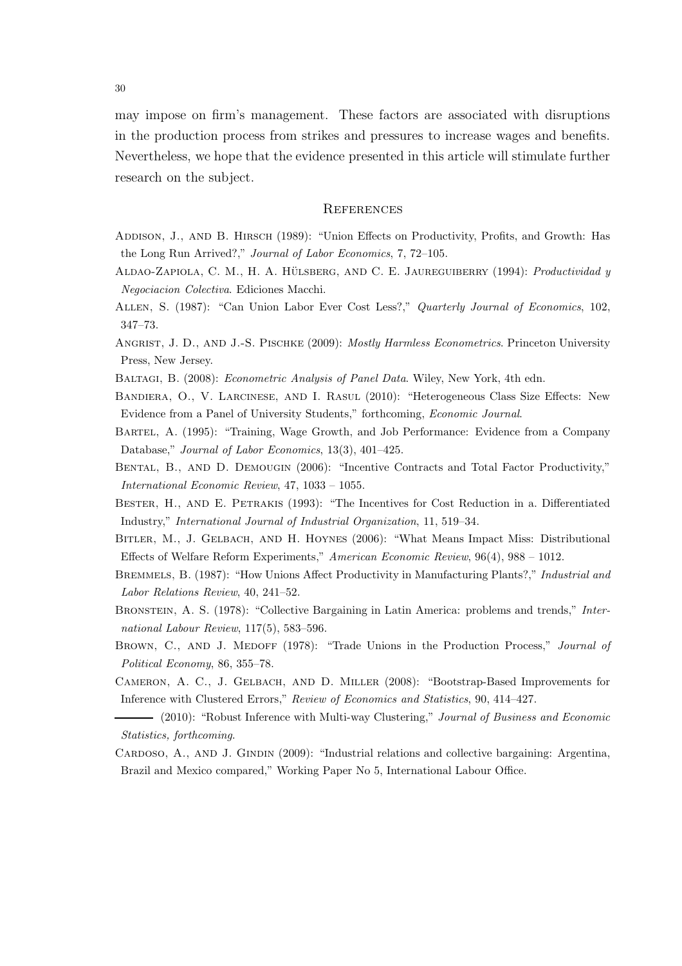may impose on firm's management. These factors are associated with disruptions in the production process from strikes and pressures to increase wages and benefits. Nevertheless, we hope that the evidence presented in this article will stimulate further research on the subject.

#### **REFERENCES**

- ADDISON, J., AND B. HIRSCH (1989): "Union Effects on Productivity, Profits, and Growth: Has the Long Run Arrived?," Journal of Labor Economics, 7, 72–105.
- ALDAO-ZAPIOLA, C. M., H. A. HÜLSBERG, AND C. E. JAUREGUIBERRY (1994): Productividad y Negociacion Colectiva. Ediciones Macchi.
- Allen, S. (1987): "Can Union Labor Ever Cost Less?," Quarterly Journal of Economics, 102, 347–73.
- ANGRIST, J. D., AND J.-S. PISCHKE (2009): *Mostly Harmless Econometrics*. Princeton University Press, New Jersey.
- BALTAGI, B. (2008): *Econometric Analysis of Panel Data*. Wiley, New York, 4th edn.
- Bandiera, O., V. Larcinese, and I. Rasul (2010): "Heterogeneous Class Size Effects: New Evidence from a Panel of University Students," forthcoming, Economic Journal.
- Bartel, A. (1995): "Training, Wage Growth, and Job Performance: Evidence from a Company Database," Journal of Labor Economics, 13(3), 401–425.
- Bental, B., and D. Demougin (2006): "Incentive Contracts and Total Factor Productivity," International Economic Review, 47, 1033 – 1055.
- Bester, H., and E. Petrakis (1993): "The Incentives for Cost Reduction in a. Differentiated Industry," International Journal of Industrial Organization, 11, 519–34.
- Bitler, M., J. Gelbach, and H. Hoynes (2006): "What Means Impact Miss: Distributional Effects of Welfare Reform Experiments," American Economic Review, 96(4), 988 – 1012.
- Bremmels, B. (1987): "How Unions Affect Productivity in Manufacturing Plants?," Industrial and Labor Relations Review, 40, 241–52.
- BRONSTEIN, A. S. (1978): "Collective Bargaining in Latin America: problems and trends," International Labour Review, 117(5), 583–596.
- BROWN, C., AND J. MEDOFF (1978): "Trade Unions in the Production Process," Journal of Political Economy, 86, 355–78.
- Cameron, A. C., J. Gelbach, and D. Miller (2008): "Bootstrap-Based Improvements for Inference with Clustered Errors," Review of Economics and Statistics, 90, 414–427.
- (2010): "Robust Inference with Multi-way Clustering," Journal of Business and Economic Statistics, forthcoming.
- CARDOSO, A., AND J. GINDIN (2009): "Industrial relations and collective bargaining: Argentina, Brazil and Mexico compared," Working Paper No 5, International Labour Office.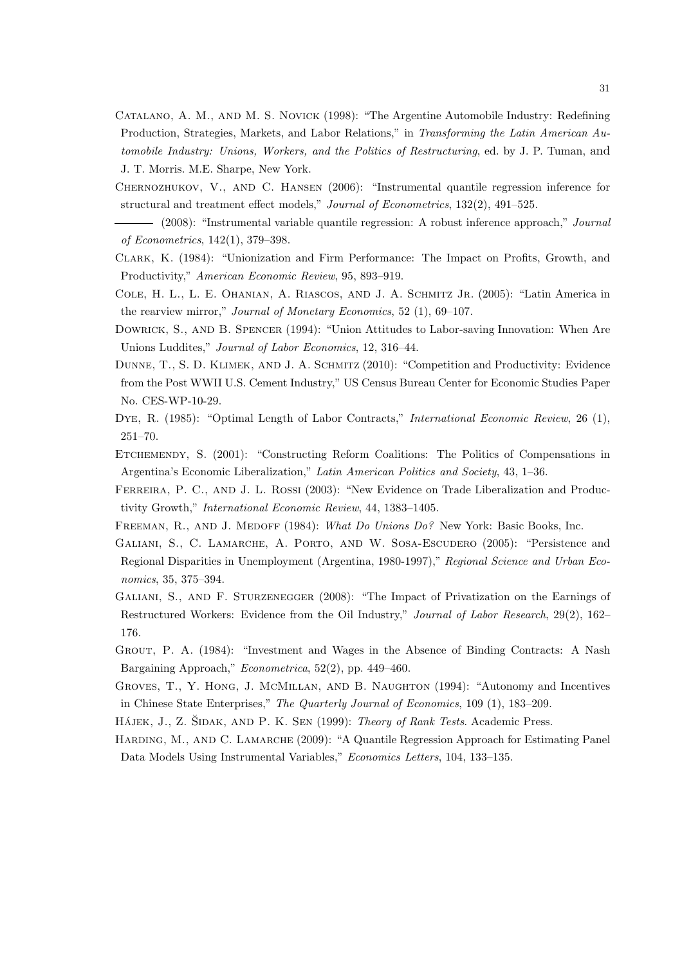- Catalano, A. M., and M. S. Novick (1998): "The Argentine Automobile Industry: Redefining Production, Strategies, Markets, and Labor Relations," in Transforming the Latin American Automobile Industry: Unions, Workers, and the Politics of Restructuring, ed. by J. P. Tuman, and J. T. Morris. M.E. Sharpe, New York.
- Chernozhukov, V., and C. Hansen (2006): "Instrumental quantile regression inference for structural and treatment effect models," Journal of Econometrics, 132(2), 491–525.
- (2008): "Instrumental variable quantile regression: A robust inference approach," Journal of Econometrics, 142(1), 379–398.
- Clark, K. (1984): "Unionization and Firm Performance: The Impact on Profits, Growth, and Productivity," American Economic Review, 95, 893–919.
- COLE, H. L., L. E. OHANIAN, A. RIASCOS, AND J. A. SCHMITZ JR. (2005): "Latin America in the rearview mirror," Journal of Monetary Economics, 52 (1), 69–107.
- Dowrick, S., and B. Spencer (1994): "Union Attitudes to Labor-saving Innovation: When Are Unions Luddites," Journal of Labor Economics, 12, 316–44.
- Dunne, T., S. D. Klimek, and J. A. Schmitz (2010): "Competition and Productivity: Evidence from the Post WWII U.S. Cement Industry," US Census Bureau Center for Economic Studies Paper No. CES-WP-10-29.
- Dye, R. (1985): "Optimal Length of Labor Contracts," International Economic Review, 26 (1), 251–70.
- ETCHEMENDY, S. (2001): "Constructing Reform Coalitions: The Politics of Compensations in Argentina's Economic Liberalization," Latin American Politics and Society, 43, 1–36.
- FERREIRA, P. C., AND J. L. ROSSI (2003): "New Evidence on Trade Liberalization and Productivity Growth," International Economic Review, 44, 1383–1405.
- FREEMAN, R., AND J. MEDOFF (1984): What Do Unions Do? New York: Basic Books, Inc.
- Galiani, S., C. Lamarche, A. Porto, and W. Sosa-Escudero (2005): "Persistence and Regional Disparities in Unemployment (Argentina, 1980-1997)," Regional Science and Urban Economics, 35, 375–394.
- Galiani, S., and F. Sturzenegger (2008): "The Impact of Privatization on the Earnings of Restructured Workers: Evidence from the Oil Industry," Journal of Labor Research, 29(2), 162– 176.
- Grout, P. A. (1984): "Investment and Wages in the Absence of Binding Contracts: A Nash Bargaining Approach," Econometrica, 52(2), pp. 449–460.
- Groves, T., Y. Hong, J. McMillan, and B. Naughton (1994): "Autonomy and Incentives in Chinese State Enterprises," The Quarterly Journal of Economics, 109 (1), 183–209.
- HÁJEK, J., Z. ŠIDAK, AND P. K. SEN (1999): Theory of Rank Tests. Academic Press.
- HARDING, M., AND C. LAMARCHE (2009): "A Quantile Regression Approach for Estimating Panel Data Models Using Instrumental Variables," Economics Letters, 104, 133–135.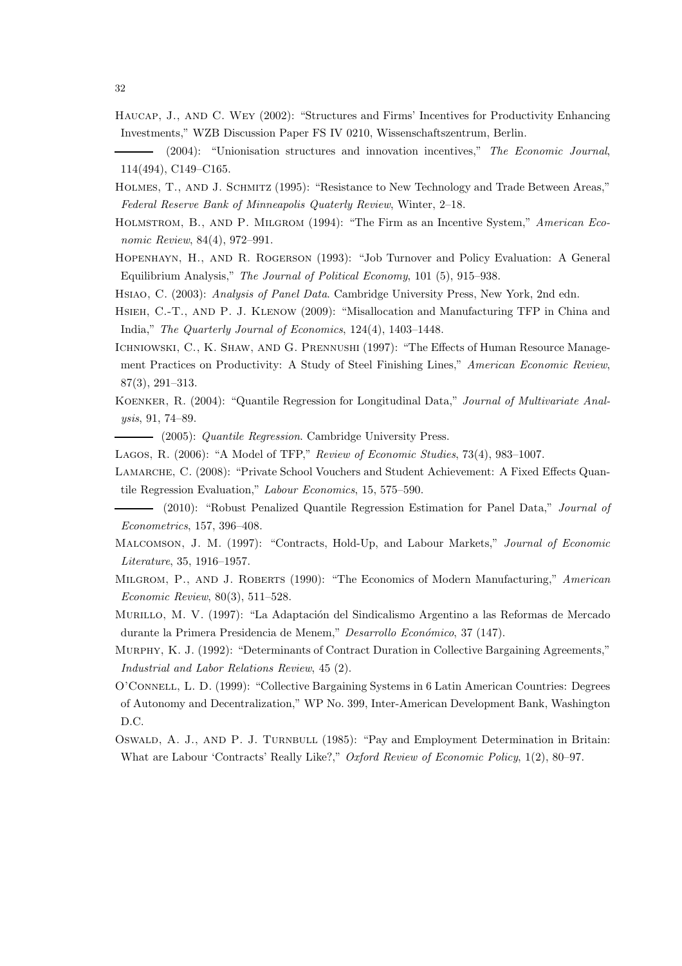- Haucap, J., and C. Wey (2002): "Structures and Firms' Incentives for Productivity Enhancing Investments," WZB Discussion Paper FS IV 0210, Wissenschaftszentrum, Berlin.
- (2004): "Unionisation structures and innovation incentives," The Economic Journal, 114(494), C149–C165.
- Holmes, T., and J. Schmitz (1995): "Resistance to New Technology and Trade Between Areas," Federal Reserve Bank of Minneapolis Quaterly Review, Winter, 2–18.
- Holmstrom, B., and P. Milgrom (1994): "The Firm as an Incentive System," American Economic Review, 84(4), 972–991.
- Hopenhayn, H., and R. Rogerson (1993): "Job Turnover and Policy Evaluation: A General Equilibrium Analysis," The Journal of Political Economy, 101 (5), 915–938.
- Hsiao, C. (2003): Analysis of Panel Data. Cambridge University Press, New York, 2nd edn.
- Hsieh, C.-T., and P. J. Klenow (2009): "Misallocation and Manufacturing TFP in China and India," The Quarterly Journal of Economics, 124(4), 1403–1448.
- ICHNIOWSKI, C., K. SHAW, AND G. PRENNUSHI (1997): "The Effects of Human Resource Management Practices on Productivity: A Study of Steel Finishing Lines," American Economic Review, 87(3), 291–313.
- Koenker, R. (2004): "Quantile Regression for Longitudinal Data," Journal of Multivariate Analysis, 91, 74–89.
- (2005): Quantile Regression. Cambridge University Press.
- Lagos, R. (2006): "A Model of TFP," Review of Economic Studies, 73(4), 983–1007.
- LAMARCHE, C. (2008): "Private School Vouchers and Student Achievement: A Fixed Effects Quantile Regression Evaluation," Labour Economics, 15, 575–590.
- (2010): "Robust Penalized Quantile Regression Estimation for Panel Data," Journal of Econometrics, 157, 396–408.
- Malcomson, J. M. (1997): "Contracts, Hold-Up, and Labour Markets," Journal of Economic Literature, 35, 1916–1957.
- MILGROM, P., AND J. ROBERTS (1990): "The Economics of Modern Manufacturing," American Economic Review, 80(3), 511–528.
- MURILLO, M. V. (1997): "La Adaptación del Sindicalismo Argentino a las Reformas de Mercado durante la Primera Presidencia de Menem," Desarrollo Económico, 37 (147).
- Murphy, K. J. (1992): "Determinants of Contract Duration in Collective Bargaining Agreements," Industrial and Labor Relations Review, 45 (2).
- O'Connell, L. D. (1999): "Collective Bargaining Systems in 6 Latin American Countries: Degrees of Autonomy and Decentralization," WP No. 399, Inter-American Development Bank, Washington D.C.
- OSWALD, A. J., AND P. J. TURNBULL (1985): "Pay and Employment Determination in Britain: What are Labour 'Contracts' Really Like?," Oxford Review of Economic Policy, 1(2), 80–97.

32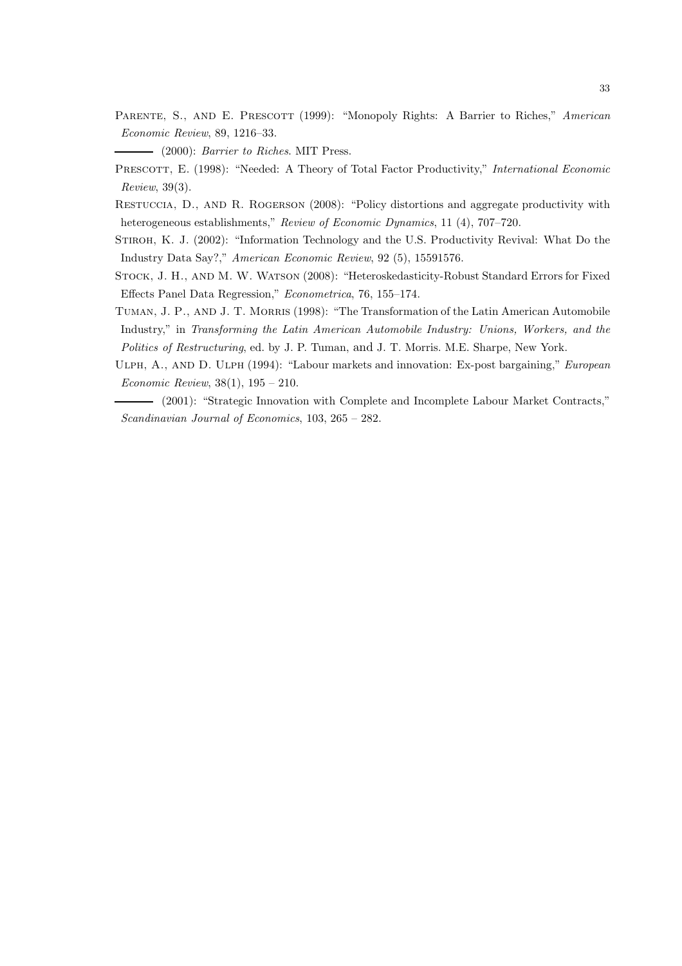PARENTE, S., AND E. PRESCOTT (1999): "Monopoly Rights: A Barrier to Riches," American Economic Review, 89, 1216–33.

(2000): Barrier to Riches. MIT Press.

- PRESCOTT, E. (1998): "Needed: A Theory of Total Factor Productivity," International Economic Review, 39(3).
- Restuccia, D., and R. Rogerson (2008): "Policy distortions and aggregate productivity with heterogeneous establishments," Review of Economic Dynamics, 11 (4), 707–720.

STIROH, K. J. (2002): "Information Technology and the U.S. Productivity Revival: What Do the Industry Data Say?," American Economic Review, 92 (5), 15591576.

- Stock, J. H., and M. W. Watson (2008): "Heteroskedasticity-Robust Standard Errors for Fixed Effects Panel Data Regression," Econometrica, 76, 155–174.
- TUMAN, J. P., AND J. T. MORRIS (1998): "The Transformation of the Latin American Automobile Industry," in Transforming the Latin American Automobile Industry: Unions, Workers, and the Politics of Restructuring, ed. by J. P. Tuman, and J. T. Morris. M.E. Sharpe, New York.
- ULPH, A., AND D. ULPH (1994): "Labour markets and innovation: Ex-post bargaining," European Economic Review, 38(1), 195 – 210.

(2001): "Strategic Innovation with Complete and Incomplete Labour Market Contracts," Scandinavian Journal of Economics, 103, 265 – 282.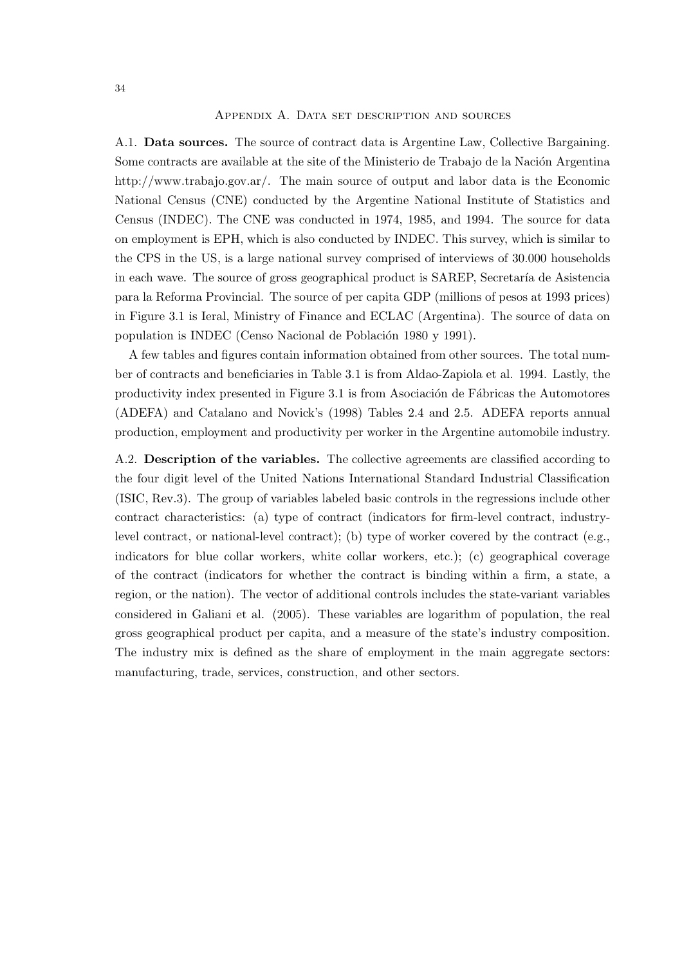#### Appendix A. Data set description and sources

A.1. Data sources. The source of contract data is Argentine Law, Collective Bargaining. Some contracts are available at the site of the Ministerio de Trabajo de la Nación Argentina http://www.trabajo.gov.ar/. The main source of output and labor data is the Economic National Census (CNE) conducted by the Argentine National Institute of Statistics and Census (INDEC). The CNE was conducted in 1974, 1985, and 1994. The source for data on employment is EPH, which is also conducted by INDEC. This survey, which is similar to the CPS in the US, is a large national survey comprised of interviews of 30.000 households in each wave. The source of gross geographical product is SAREP, Secretaría de Asistencia para la Reforma Provincial. The source of per capita GDP (millions of pesos at 1993 prices) in Figure 3.1 is Ieral, Ministry of Finance and ECLAC (Argentina). The source of data on population is INDEC (Censo Nacional de Población 1980 y 1991).

A few tables and figures contain information obtained from other sources. The total number of contracts and beneficiaries in Table 3.1 is from Aldao-Zapiola et al. 1994. Lastly, the productivity index presented in Figure 3.1 is from Asociación de Fábricas the Automotores (ADEFA) and Catalano and Novick's (1998) Tables 2.4 and 2.5. ADEFA reports annual production, employment and productivity per worker in the Argentine automobile industry.

A.2. Description of the variables. The collective agreements are classified according to the four digit level of the United Nations International Standard Industrial Classification (ISIC, Rev.3). The group of variables labeled basic controls in the regressions include other contract characteristics: (a) type of contract (indicators for firm-level contract, industrylevel contract, or national-level contract); (b) type of worker covered by the contract (e.g., indicators for blue collar workers, white collar workers, etc.); (c) geographical coverage of the contract (indicators for whether the contract is binding within a firm, a state, a region, or the nation). The vector of additional controls includes the state-variant variables considered in Galiani et al. (2005). These variables are logarithm of population, the real gross geographical product per capita, and a measure of the state's industry composition. The industry mix is defined as the share of employment in the main aggregate sectors: manufacturing, trade, services, construction, and other sectors.